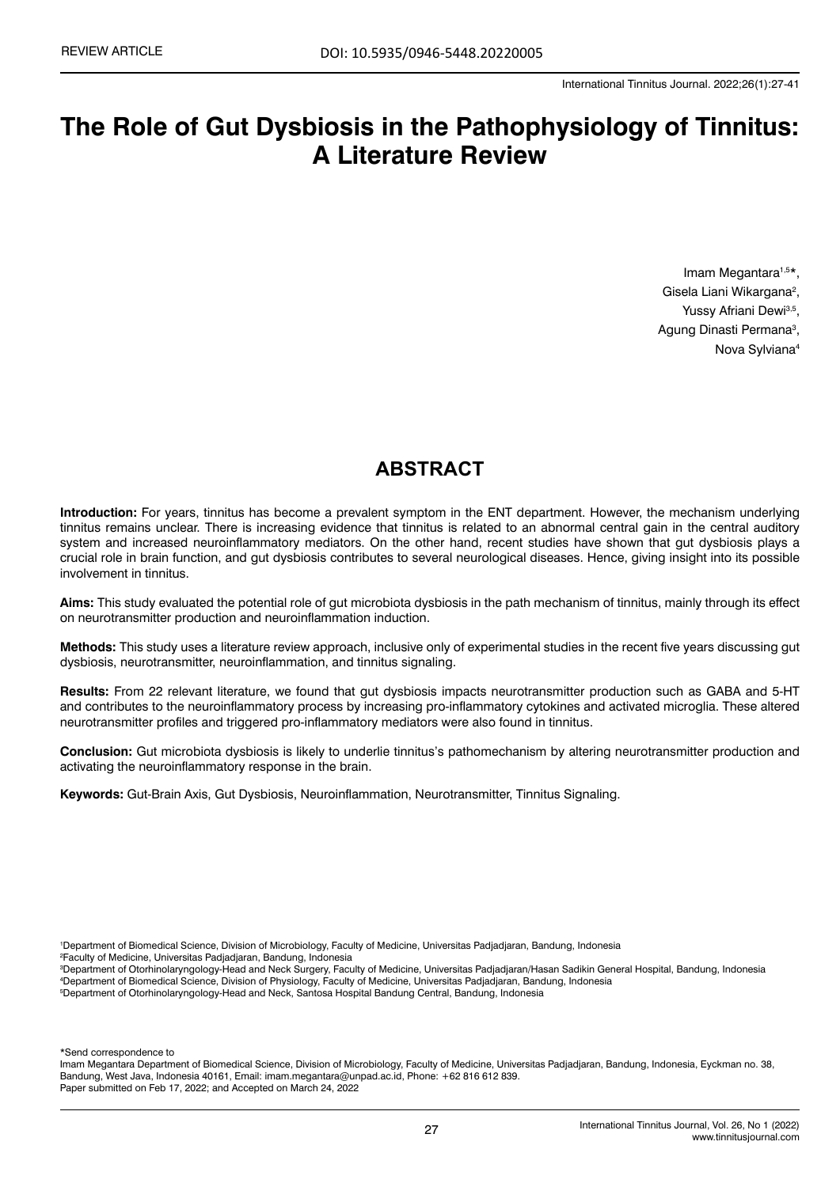# **The Role of Gut Dysbiosis in the Pathophysiology of Tinnitus: A Literature Review**

Imam Megantara<sup>1,5\*</sup>, Gisela Liani Wikargana<sup>2</sup>, Yussy Afriani Dewi<sup>3,5</sup>, Agung Dinasti Permana<sup>3</sup>, Nova Sylviana4

# **ABSTRACT**

**Introduction:** For years, tinnitus has become a prevalent symptom in the ENT department. However, the mechanism underlying tinnitus remains unclear. There is increasing evidence that tinnitus is related to an abnormal central gain in the central auditory system and increased neuroinflammatory mediators. On the other hand, recent studies have shown that gut dysbiosis plays a crucial role in brain function, and gut dysbiosis contributes to several neurological diseases. Hence, giving insight into its possible involvement in tinnitus.

**Aims:** This study evaluated the potential role of gut microbiota dysbiosis in the path mechanism of tinnitus, mainly through its effect on neurotransmitter production and neuroinflammation induction.

**Methods:** This study uses a literature review approach, inclusive only of experimental studies in the recent five years discussing gut dysbiosis, neurotransmitter, neuroinflammation, and tinnitus signaling.

**Results:** From 22 relevant literature, we found that gut dysbiosis impacts neurotransmitter production such as GABA and 5-HT and contributes to the neuroinflammatory process by increasing pro-inflammatory cytokines and activated microglia. These altered neurotransmitter profiles and triggered pro-inflammatory mediators were also found in tinnitus.

**Conclusion:** Gut microbiota dysbiosis is likely to underlie tinnitus's pathomechanism by altering neurotransmitter production and activating the neuroinflammatory response in the brain.

**Keywords:** Gut-Brain Axis, Gut Dysbiosis, Neuroinflammation, Neurotransmitter, Tinnitus Signaling.

1 Department of Biomedical Science, Division of Microbiology, Faculty of Medicine, Universitas Padjadjaran, Bandung, Indonesia

2 Faculty of Medicine, Universitas Padjadjaran, Bandung, Indonesia

3 Department of Otorhinolaryngology-Head and Neck Surgery, Faculty of Medicine, Universitas Padjadjaran/Hasan Sadikin General Hospital, Bandung, Indonesia 4 Department of Biomedical Science, Division of Physiology, Faculty of Medicine, Universitas Padjadjaran, Bandung, Indonesia 5 Department of Otorhinolaryngology-Head and Neck, Santosa Hospital Bandung Central, Bandung, Indonesia

\*Send correspondence to

Imam Megantara Department of Biomedical Science, Division of Microbiology, Faculty of Medicine, Universitas Padjadjaran, Bandung, Indonesia, Eyckman no. 38, Bandung, West Java, Indonesia 40161, Email: [imam.megantara@unpad.ac.id,](mailto:imam.megantara@unpad.ac.id) Phone: +62 816 612 839. Paper submitted on Feb 17, 2022; and Accepted on March 24, 2022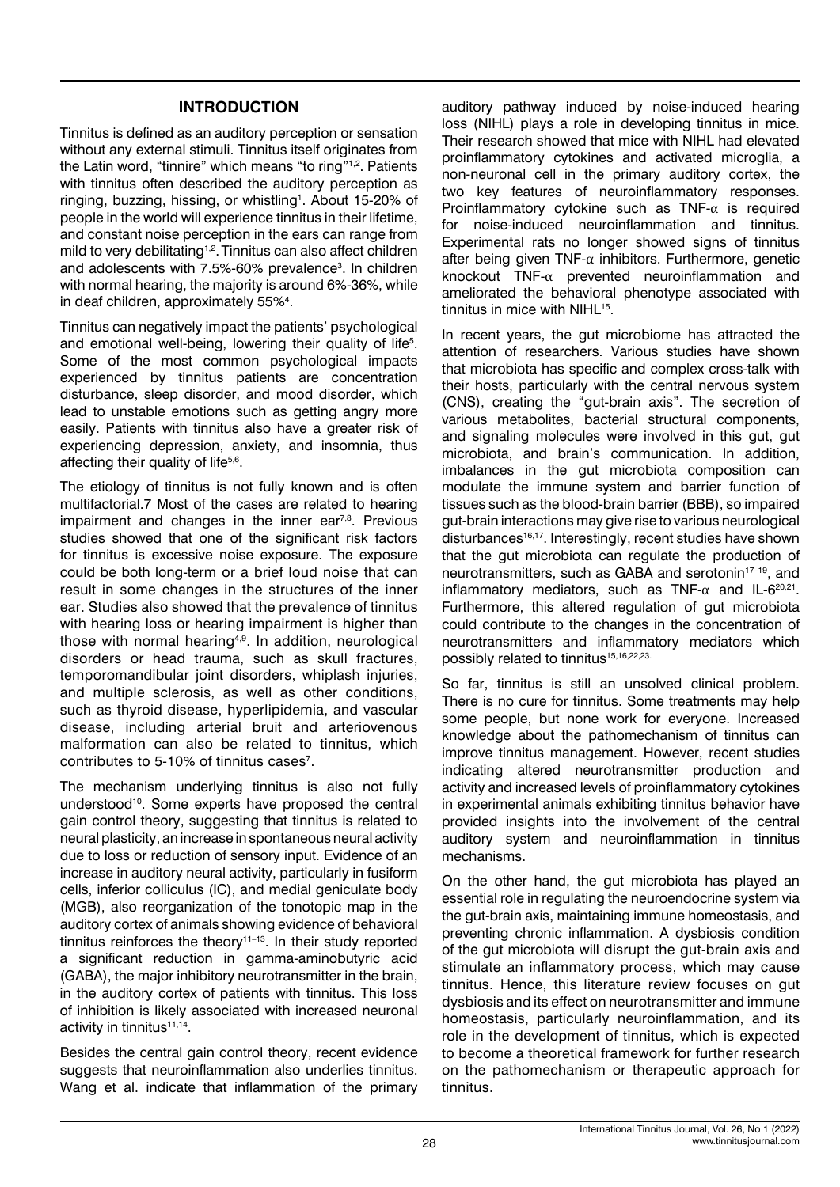## **INTRODUCTION**

Tinnitus is defined as an auditory perception or sensation without any external stimuli. Tinnitus itself originates from the Latin word, "tinnire" which means "to ring"1,2. Patients with tinnitus often described the auditory perception as ringing, buzzing, hissing, or whistling<sup>1</sup>. About 15-20% of people in the world will experience tinnitus in their lifetime, and constant noise perception in the ears can range from mild to very debilitating<sup>1,2</sup>. Tinnitus can also affect children and adolescents with 7.5%-60% prevalence<sup>3</sup>. In children with normal hearing, the majority is around 6%-36%, while in deaf children, approximately 55%<sup>4</sup>.

Tinnitus can negatively impact the patients' psychological and emotional well-being, lowering their quality of life<sup>5</sup>. Some of the most common psychological impacts experienced by tinnitus patients are concentration disturbance, sleep disorder, and mood disorder, which lead to unstable emotions such as getting angry more easily. Patients with tinnitus also have a greater risk of experiencing depression, anxiety, and insomnia, thus affecting their quality of life<sup>5,6</sup>.

The etiology of tinnitus is not fully known and is often multifactorial.7 Most of the cases are related to hearing impairment and changes in the inner ear $7,8$ . Previous studies showed that one of the significant risk factors for tinnitus is excessive noise exposure. The exposure could be both long-term or a brief loud noise that can result in some changes in the structures of the inner ear. Studies also showed that the prevalence of tinnitus with hearing loss or hearing impairment is higher than those with normal hearing<sup>4,9</sup>. In addition, neurological disorders or head trauma, such as skull fractures, temporomandibular joint disorders, whiplash injuries, and multiple sclerosis, as well as other conditions, such as thyroid disease, hyperlipidemia, and vascular disease, including arterial bruit and arteriovenous malformation can also be related to tinnitus, which contributes to 5-10% of tinnitus cases<sup>7</sup>.

The mechanism underlying tinnitus is also not fully understood<sup>10</sup>. Some experts have proposed the central gain control theory, suggesting that tinnitus is related to neural plasticity, an increase in spontaneous neural activity due to loss or reduction of sensory input. Evidence of an increase in auditory neural activity, particularly in fusiform cells, inferior colliculus (IC), and medial geniculate body (MGB), also reorganization of the tonotopic map in the auditory cortex of animals showing evidence of behavioral tinnitus reinforces the theory<sup>11-13</sup>. In their study reported a significant reduction in gamma-aminobutyric acid (GABA), the major inhibitory neurotransmitter in the brain, in the auditory cortex of patients with tinnitus. This loss of inhibition is likely associated with increased neuronal activity in tinnitus<sup>11,14</sup>.

Besides the central gain control theory, recent evidence suggests that neuroinflammation also underlies tinnitus. Wang et al. indicate that inflammation of the primary

auditory pathway induced by noise-induced hearing loss (NIHL) plays a role in developing tinnitus in mice. Their research showed that mice with NIHL had elevated proinflammatory cytokines and activated microglia, a non-neuronal cell in the primary auditory cortex, the two key features of neuroinflammatory responses. Proinflammatory cytokine such as TNF- $\alpha$  is required for noise-induced neuroinflammation and tinnitus. Experimental rats no longer showed signs of tinnitus after being given TNF- $\alpha$  inhibitors. Furthermore, genetic knockout TNF-α prevented neuroinflammation and ameliorated the behavioral phenotype associated with tinnitus in mice with NIHL<sup>15</sup>.

In recent years, the gut microbiome has attracted the attention of researchers. Various studies have shown that microbiota has specific and complex cross-talk with their hosts, particularly with the central nervous system (CNS), creating the "gut-brain axis". The secretion of various metabolites, bacterial structural components, and signaling molecules were involved in this gut, gut microbiota, and brain's communication. In addition, imbalances in the gut microbiota composition can modulate the immune system and barrier function of tissues such as the blood-brain barrier (BBB), so impaired gut-brain interactions may give rise to various neurological disturbances<sup>16,17</sup>. Interestingly, recent studies have shown that the gut microbiota can regulate the production of neurotransmitters, such as GABA and serotonin<sup>17-19</sup>, and inflammatory mediators, such as TNF- $\alpha$  and IL-6<sup>20,21</sup>. Furthermore, this altered regulation of gut microbiota could contribute to the changes in the concentration of neurotransmitters and inflammatory mediators which possibly related to tinnitus<sup>15,16,22,23.</sup>

So far, tinnitus is still an unsolved clinical problem. There is no cure for tinnitus. Some treatments may help some people, but none work for everyone. Increased knowledge about the pathomechanism of tinnitus can improve tinnitus management. However, recent studies indicating altered neurotransmitter production and activity and increased levels of proinflammatory cytokines in experimental animals exhibiting tinnitus behavior have provided insights into the involvement of the central auditory system and neuroinflammation in tinnitus mechanisms.

On the other hand, the gut microbiota has played an essential role in regulating the neuroendocrine system via the gut-brain axis, maintaining immune homeostasis, and preventing chronic inflammation. A dysbiosis condition of the gut microbiota will disrupt the gut-brain axis and stimulate an inflammatory process, which may cause tinnitus. Hence, this literature review focuses on gut dysbiosis and its effect on neurotransmitter and immune homeostasis, particularly neuroinflammation, and its role in the development of tinnitus, which is expected to become a theoretical framework for further research on the pathomechanism or therapeutic approach for tinnitus.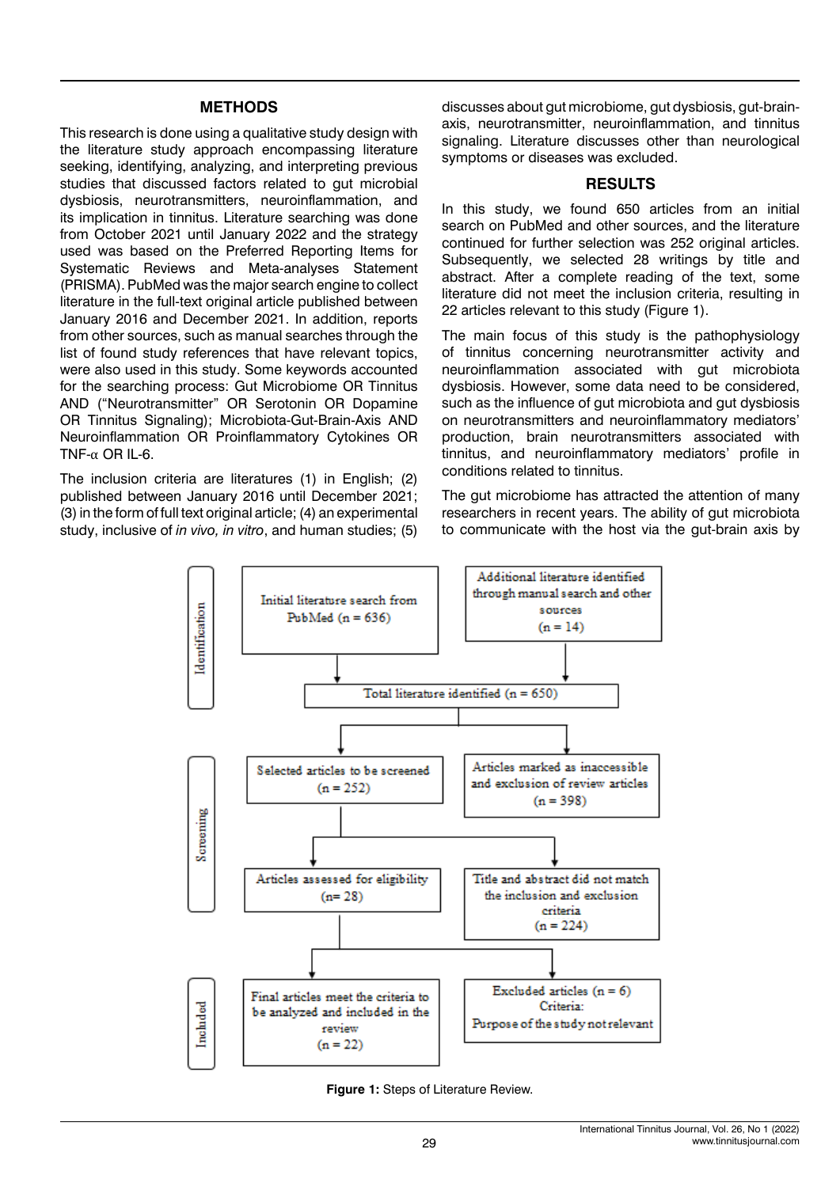#### **METHODS**

This research is done using a qualitative study design with the literature study approach encompassing literature seeking, identifying, analyzing, and interpreting previous studies that discussed factors related to gut microbial dysbiosis, neurotransmitters, neuroinflammation, and its implication in tinnitus. Literature searching was done from October 2021 until January 2022 and the strategy used was based on the Preferred Reporting Items for Systematic Reviews and Meta-analyses Statement (PRISMA). PubMed was the major search engine to collect literature in the full-text original article published between January 2016 and December 2021. In addition, reports from other sources, such as manual searches through the list of found study references that have relevant topics, were also used in this study. Some keywords accounted for the searching process: Gut Microbiome OR Tinnitus AND ("Neurotransmitter" OR Serotonin OR Dopamine OR Tinnitus Signaling); Microbiota-Gut-Brain-Axis AND Neuroinflammation OR Proinflammatory Cytokines OR TNF- $\alpha$  OR IL-6.

The inclusion criteria are literatures (1) in English; (2) published between January 2016 until December 2021; (3) in the form of full text original article; (4) an experimental study, inclusive of *in vivo, in vitro*, and human studies; (5) discusses about gut microbiome, gut dysbiosis, gut-brainaxis, neurotransmitter, neuroinflammation, and tinnitus signaling. Literature discusses other than neurological symptoms or diseases was excluded.

#### **RESULTS**

In this study, we found 650 articles from an initial search on PubMed and other sources, and the literature continued for further selection was 252 original articles. Subsequently, we selected 28 writings by title and abstract. After a complete reading of the text, some literature did not meet the inclusion criteria, resulting in 22 articles relevant to this study (Figure 1).

The main focus of this study is the pathophysiology of tinnitus concerning neurotransmitter activity and neuroinflammation associated with gut microbiota dysbiosis. However, some data need to be considered, such as the influence of gut microbiota and gut dysbiosis on neurotransmitters and neuroinflammatory mediators' production, brain neurotransmitters associated with tinnitus, and neuroinflammatory mediators' profile in conditions related to tinnitus.

The gut microbiome has attracted the attention of many researchers in recent years. The ability of gut microbiota to communicate with the host via the gut-brain axis by



**Figure 1:** Steps of Literature Review.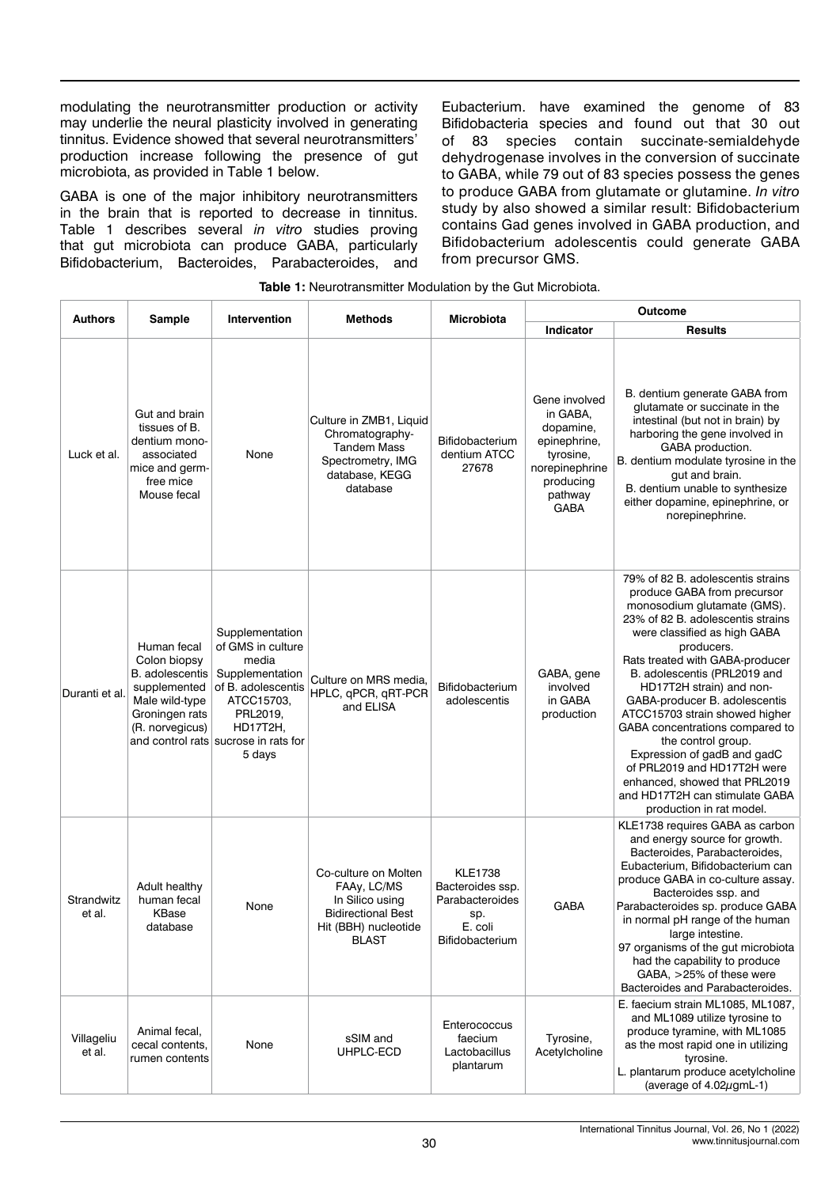modulating the neurotransmitter production or activity may underlie the neural plasticity involved in generating tinnitus. Evidence showed that several neurotransmitters' production increase following the presence of gut microbiota, as provided in Table 1 below.

GABA is one of the major inhibitory neurotransmitters in the brain that is reported to decrease in tinnitus. Table 1 describes several *in vitro* studies proving that gut microbiota can produce GABA, particularly Bifidobacterium, Bacteroides, Parabacteroides, and

Eubacterium. have examined the genome of 83 Bifidobacteria species and found out that 30 out of 83 species contain succinate-semialdehyde dehydrogenase involves in the conversion of succinate to GABA, while 79 out of 83 species possess the genes to produce GABA from glutamate or glutamine. *In vitro* study by also showed a similar result: Bifidobacterium contains Gad genes involved in GABA production, and Bifidobacterium adolescentis could generate GABA from precursor GMS.

| <b>Authors</b>       | Sample                                                                                                                       | Intervention                                                                                                                                                                   | Methods                                                                                                                     | Microbiota                                                                                 | <b>Outcome</b>                                                                                                               |                                                                                                                                                                                                                                                                                                                                                                                                                                                                                                                                                                            |
|----------------------|------------------------------------------------------------------------------------------------------------------------------|--------------------------------------------------------------------------------------------------------------------------------------------------------------------------------|-----------------------------------------------------------------------------------------------------------------------------|--------------------------------------------------------------------------------------------|------------------------------------------------------------------------------------------------------------------------------|----------------------------------------------------------------------------------------------------------------------------------------------------------------------------------------------------------------------------------------------------------------------------------------------------------------------------------------------------------------------------------------------------------------------------------------------------------------------------------------------------------------------------------------------------------------------------|
|                      |                                                                                                                              |                                                                                                                                                                                |                                                                                                                             |                                                                                            | <b>Indicator</b>                                                                                                             | <b>Results</b>                                                                                                                                                                                                                                                                                                                                                                                                                                                                                                                                                             |
| Luck et al.          | Gut and brain<br>tissues of B.<br>dentium mono-<br>associated<br>mice and germ-<br>free mice<br>Mouse fecal                  | None                                                                                                                                                                           | Culture in ZMB1, Liquid<br>Chromatography-<br><b>Tandem Mass</b><br>Spectrometry, IMG<br>database, KEGG<br>database         | <b>Bifidobacterium</b><br>dentium ATCC<br>27678                                            | Gene involved<br>in GABA,<br>dopamine,<br>epinephrine,<br>tyrosine,<br>norepinephrine<br>producing<br>pathway<br><b>GABA</b> | B. dentium generate GABA from<br>glutamate or succinate in the<br>intestinal (but not in brain) by<br>harboring the gene involved in<br>GABA production.<br>B. dentium modulate tyrosine in the<br>qut and brain.<br>B. dentium unable to synthesize<br>either dopamine, epinephrine, or<br>norepinephrine.                                                                                                                                                                                                                                                                |
| Duranti et al.       | Human fecal<br>Colon biopsy<br><b>B.</b> adolescentis<br>supplemented<br>Male wild-type<br>Groningen rats<br>(R. norvegicus) | Supplementation<br>of GMS in culture<br>media<br>Supplementation<br>of B. adolescentis<br>ATCC15703,<br>PRL2019,<br>HD17T2H,<br>and control rats sucrose in rats for<br>5 days | Culture on MRS media,<br>HPLC, qPCR, qRT-PCR<br>and ELISA                                                                   | Bifidobacterium<br>adolescentis                                                            | GABA, gene<br>involved<br>in GABA<br>production                                                                              | 79% of 82 B. adolescentis strains<br>produce GABA from precursor<br>monosodium glutamate (GMS).<br>23% of 82 B. adolescentis strains<br>were classified as high GABA<br>producers.<br>Rats treated with GABA-producer<br>B. adolescentis (PRL2019 and<br>HD17T2H strain) and non-<br>GABA-producer B. adolescentis<br>ATCC15703 strain showed higher<br>GABA concentrations compared to<br>the control group.<br>Expression of gadB and gadC<br>of PRL2019 and HD17T2H were<br>enhanced, showed that PRL2019<br>and HD17T2H can stimulate GABA<br>production in rat model. |
| Strandwitz<br>et al. | Adult healthy<br>human fecal<br>KBase<br>database                                                                            | None                                                                                                                                                                           | Co-culture on Molten<br>FAAy, LC/MS<br>In Silico using<br><b>Bidirectional Best</b><br>Hit (BBH) nucleotide<br><b>BLAST</b> | <b>KLE1738</b><br>Bacteroides ssp.<br>Parabacteroides<br>sp.<br>E. coli<br>Bifidobacterium | <b>GABA</b>                                                                                                                  | KLE1738 requires GABA as carbon<br>and energy source for growth.<br>Bacteroides, Parabacteroides,<br>Eubacterium, Bifidobacterium can<br>produce GABA in co-culture assay.<br>Bacteroides ssp. and<br>Parabacteroides sp. produce GABA<br>in normal pH range of the human<br>large intestine.<br>97 organisms of the gut microbiota<br>had the capability to produce<br>GABA, >25% of these were<br>Bacteroides and Parabacteroides.                                                                                                                                       |
| Villageliu<br>et al. | Animal fecal,<br>cecal contents,<br>rumen contents                                                                           | None                                                                                                                                                                           | sSIM and<br>UHPLC-ECD                                                                                                       | Enterococcus<br>faecium<br>Lactobacillus<br>plantarum                                      | Tyrosine,<br>Acetylcholine                                                                                                   | E. faecium strain ML1085, ML1087,<br>and ML1089 utilize tyrosine to<br>produce tyramine, with ML1085<br>as the most rapid one in utilizing<br>tyrosine.<br>L. plantarum produce acetylcholine<br>(average of 4.02µgmL-1)                                                                                                                                                                                                                                                                                                                                                   |

**Table 1:** Neurotransmitter Modulation by the Gut Microbiota.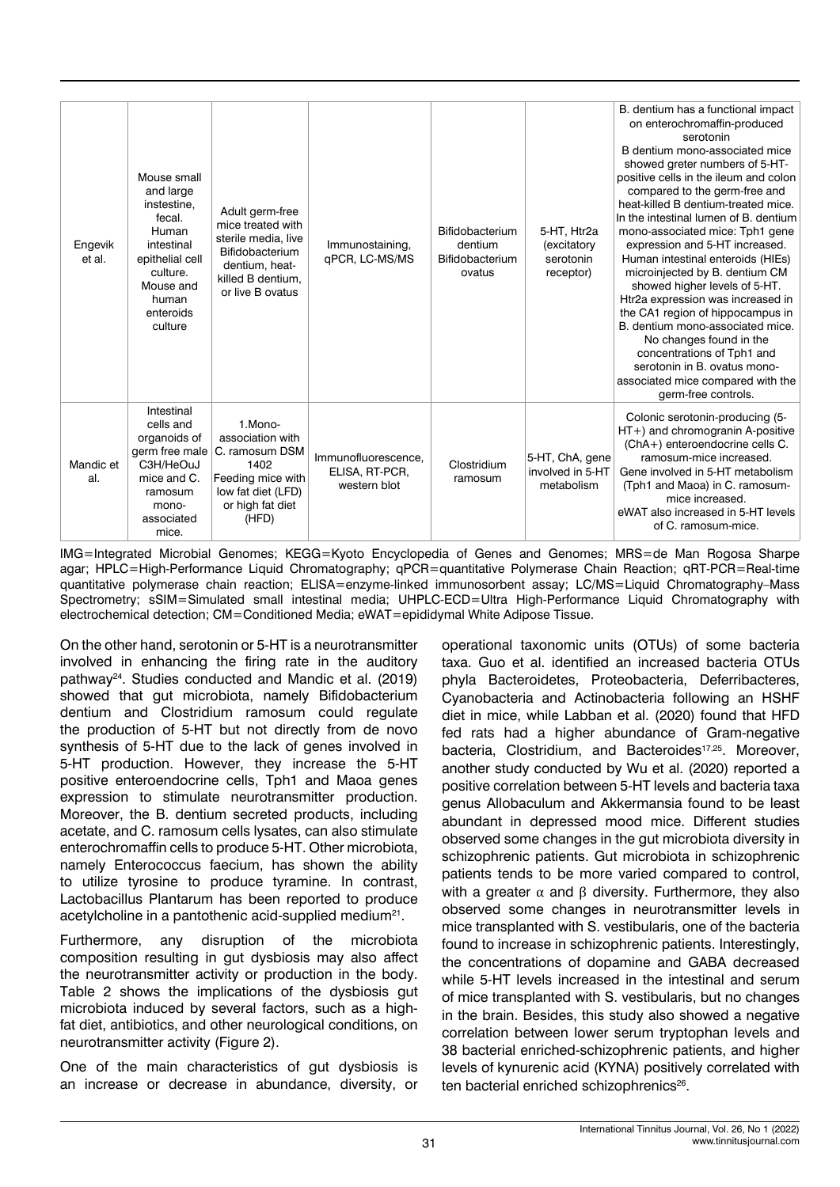| Engevik<br>et al. | Mouse small<br>and large<br>instestine.<br>fecal.<br>Human<br>intestinal<br>epithelial cell<br>culture.<br>Mouse and<br>human<br>enteroids<br>culture | Adult germ-free<br>mice treated with<br>sterile media, live<br>Bifidobacterium<br>dentium, heat-<br>killed B dentium.<br>or live B ovatus | Immunostaining,<br>qPCR, LC-MS/MS                     | Bifidobacterium<br>dentium<br>Bifidobacterium<br>ovatus | 5-HT, Htr2a<br>(excitatory<br>serotonin<br>receptor) | B. dentium has a functional impact<br>on enterochromaffin-produced<br>serotonin<br>B dentium mono-associated mice<br>showed greter numbers of 5-HT-<br>positive cells in the ileum and colon<br>compared to the germ-free and<br>heat-killed B dentium-treated mice.<br>In the intestinal lumen of B, dentium<br>mono-associated mice: Tph1 gene<br>expression and 5-HT increased.<br>Human intestinal enteroids (HIEs)<br>microinjected by B. dentium CM<br>showed higher levels of 5-HT.<br>Htr2a expression was increased in<br>the CA1 region of hippocampus in<br>B. dentium mono-associated mice.<br>No changes found in the<br>concentrations of Tph1 and<br>serotonin in B. ovatus mono-<br>associated mice compared with the<br>germ-free controls. |
|-------------------|-------------------------------------------------------------------------------------------------------------------------------------------------------|-------------------------------------------------------------------------------------------------------------------------------------------|-------------------------------------------------------|---------------------------------------------------------|------------------------------------------------------|--------------------------------------------------------------------------------------------------------------------------------------------------------------------------------------------------------------------------------------------------------------------------------------------------------------------------------------------------------------------------------------------------------------------------------------------------------------------------------------------------------------------------------------------------------------------------------------------------------------------------------------------------------------------------------------------------------------------------------------------------------------|
| Mandic et<br>al.  | Intestinal<br>cells and<br>organoids of<br>germ free male<br>C3H/HeOuJ<br>mice and C.<br>ramosum<br>mono-<br>associated<br>mice.                      | 1.Mono-<br>association with<br>C. ramosum DSM<br>1402<br>Feeding mice with<br>low fat diet (LFD)<br>or high fat diet<br>(HFD)             | Immunofluorescence,<br>ELISA, RT-PCR,<br>western blot | Clostridium<br>ramosum                                  | 5-HT, ChA, gene<br>involved in 5-HT<br>metabolism    | Colonic serotonin-producing (5-<br>HT+) and chromogranin A-positive<br>(ChA+) enteroendocrine cells C.<br>ramosum-mice increased.<br>Gene involved in 5-HT metabolism<br>(Tph1 and Maoa) in C. ramosum-<br>mice increased.<br>eWAT also increased in 5-HT levels<br>of C. ramosum-mice.                                                                                                                                                                                                                                                                                                                                                                                                                                                                      |

IMG=Integrated Microbial Genomes; KEGG=Kyoto Encyclopedia of Genes and Genomes; MRS=de Man Rogosa Sharpe agar; HPLC=High-Performance Liquid Chromatography; qPCR=quantitative Polymerase Chain Reaction; qRT-PCR=Real-time quantitative polymerase chain reaction; ELISA=enzyme-linked immunosorbent assay; LC/MS=Liquid Chromatography-Mass Spectrometry; sSIM=Simulated small intestinal media; UHPLC-ECD=Ultra High-Performance Liquid Chromatography with electrochemical detection; CM=Conditioned Media; eWAT=epididymal White Adipose Tissue.

On the other hand, serotonin or 5-HT is a neurotransmitter involved in enhancing the firing rate in the auditory pathway24. Studies conducted and Mandic et al. (2019) showed that gut microbiota, namely Bifidobacterium dentium and Clostridium ramosum could regulate the production of 5-HT but not directly from de novo synthesis of 5-HT due to the lack of genes involved in 5-HT production. However, they increase the 5-HT positive enteroendocrine cells, Tph1 and Maoa genes expression to stimulate neurotransmitter production. Moreover, the B. dentium secreted products, including acetate, and C. ramosum cells lysates, can also stimulate enterochromaffin cells to produce 5-HT. Other microbiota, namely Enterococcus faecium, has shown the ability to utilize tyrosine to produce tyramine. In contrast, Lactobacillus Plantarum has been reported to produce acetylcholine in a pantothenic acid-supplied medium<sup>21</sup>.

Furthermore, any disruption of the microbiota composition resulting in gut dysbiosis may also affect the neurotransmitter activity or production in the body. Table 2 shows the implications of the dysbiosis gut microbiota induced by several factors, such as a highfat diet, antibiotics, and other neurological conditions, on neurotransmitter activity (Figure 2).

One of the main characteristics of gut dysbiosis is an increase or decrease in abundance, diversity, or operational taxonomic units (OTUs) of some bacteria taxa. Guo et al. identified an increased bacteria OTUs phyla Bacteroidetes, Proteobacteria, Deferribacteres, Cyanobacteria and Actinobacteria following an HSHF diet in mice, while Labban et al. (2020) found that HFD fed rats had a higher abundance of Gram-negative bacteria, Clostridium, and Bacteroides<sup>17,25</sup>. Moreover, another study conducted by Wu et al. (2020) reported a positive correlation between 5-HT levels and bacteria taxa genus Allobaculum and Akkermansia found to be least abundant in depressed mood mice. Different studies observed some changes in the gut microbiota diversity in schizophrenic patients. Gut microbiota in schizophrenic patients tends to be more varied compared to control, with a greater  $\alpha$  and  $\beta$  diversity. Furthermore, they also observed some changes in neurotransmitter levels in mice transplanted with S. vestibularis, one of the bacteria found to increase in schizophrenic patients. Interestingly, the concentrations of dopamine and GABA decreased while 5-HT levels increased in the intestinal and serum of mice transplanted with S. vestibularis, but no changes in the brain. Besides, this study also showed a negative correlation between lower serum tryptophan levels and 38 bacterial enriched-schizophrenic patients, and higher levels of kynurenic acid (KYNA) positively correlated with ten bacterial enriched schizophrenics<sup>26</sup>.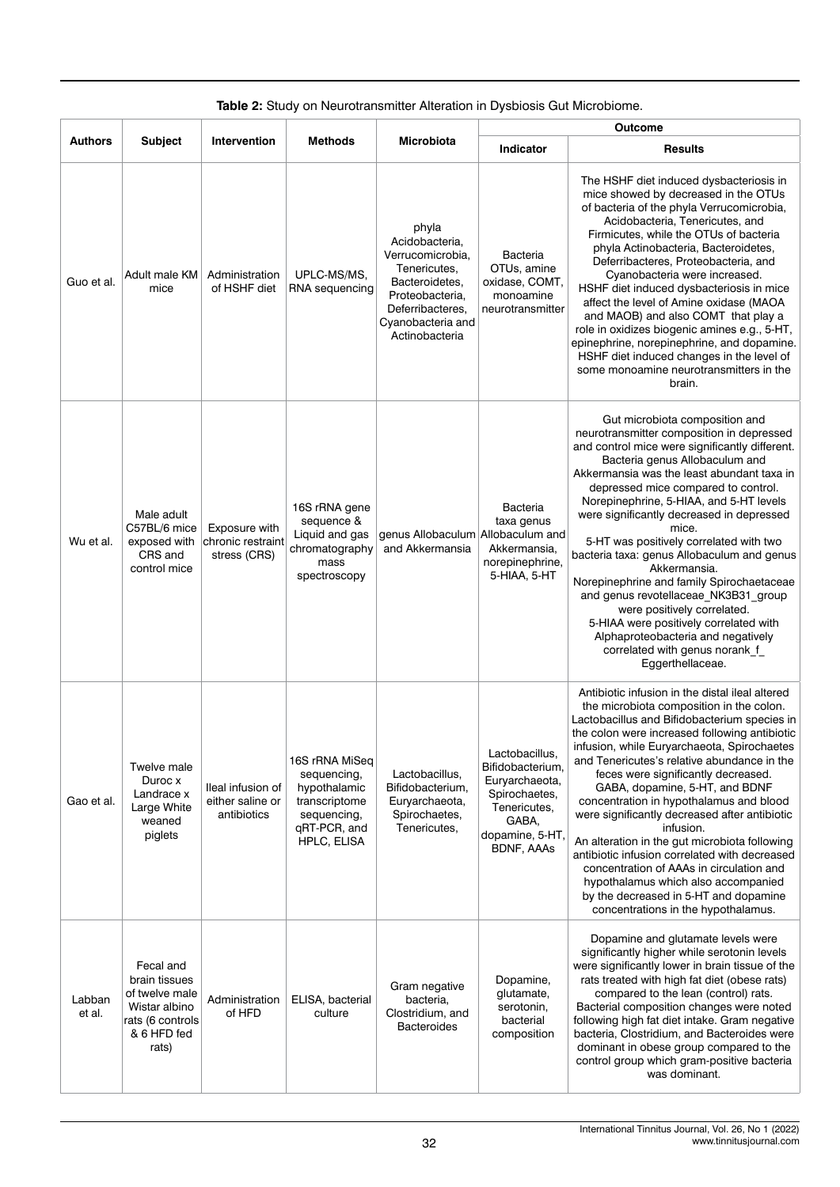|                  |                                                                                                           |                                                      |                                                                                                              |                                                                                                                                                             | Outcome                                                                                                                                |                                                                                                                                                                                                                                                                                                                                                                                                                                                                                                                                                                                                                                                                                                                                                   |  |
|------------------|-----------------------------------------------------------------------------------------------------------|------------------------------------------------------|--------------------------------------------------------------------------------------------------------------|-------------------------------------------------------------------------------------------------------------------------------------------------------------|----------------------------------------------------------------------------------------------------------------------------------------|---------------------------------------------------------------------------------------------------------------------------------------------------------------------------------------------------------------------------------------------------------------------------------------------------------------------------------------------------------------------------------------------------------------------------------------------------------------------------------------------------------------------------------------------------------------------------------------------------------------------------------------------------------------------------------------------------------------------------------------------------|--|
| Authors          | <b>Subject</b>                                                                                            | Intervention                                         | Methods                                                                                                      | Microbiota                                                                                                                                                  | Indicator                                                                                                                              | <b>Results</b>                                                                                                                                                                                                                                                                                                                                                                                                                                                                                                                                                                                                                                                                                                                                    |  |
| Guo et al.       | Adult male KM<br>mice                                                                                     | Administration<br>of HSHF diet                       | UPLC-MS/MS,<br>RNA sequencing                                                                                | phyla<br>Acidobacteria,<br>Verrucomicrobia,<br>Tenericutes,<br>Bacteroidetes,<br>Proteobacteria,<br>Deferribacteres,<br>Cyanobacteria and<br>Actinobacteria | Bacteria<br>OTUs, amine<br>oxidase, COMT,<br>monoamine<br>neurotransmitter                                                             | The HSHF diet induced dysbacteriosis in<br>mice showed by decreased in the OTUs<br>of bacteria of the phyla Verrucomicrobia,<br>Acidobacteria, Tenericutes, and<br>Firmicutes, while the OTUs of bacteria<br>phyla Actinobacteria, Bacteroidetes,<br>Deferribacteres, Proteobacteria, and<br>Cyanobacteria were increased.<br>HSHF diet induced dysbacteriosis in mice<br>affect the level of Amine oxidase (MAOA<br>and MAOB) and also COMT that play a<br>role in oxidizes biogenic amines e.g., 5-HT,<br>epinephrine, norepinephrine, and dopamine.<br>HSHF diet induced changes in the level of<br>some monoamine neurotransmitters in the<br>brain.                                                                                          |  |
| Wu et al.        | Male adult<br>C57BL/6 mice<br>exposed with<br>CRS and<br>control mice                                     | Exposure with<br>chronic restraint<br>stress (CRS)   | 16S rRNA gene<br>sequence &<br>Liquid and gas<br>chromatography<br>mass<br>spectroscopy                      | genus Allobaculum Allobaculum and<br>and Akkermansia                                                                                                        | <b>Bacteria</b><br>taxa genus<br>Akkermansia,<br>norepinephrine,<br>5-HIAA, 5-HT                                                       | Gut microbiota composition and<br>neurotransmitter composition in depressed<br>and control mice were significantly different.<br>Bacteria genus Allobaculum and<br>Akkermansia was the least abundant taxa in<br>depressed mice compared to control.<br>Norepinephrine, 5-HIAA, and 5-HT levels<br>were significantly decreased in depressed<br>mice.<br>5-HT was positively correlated with two<br>bacteria taxa: genus Allobaculum and genus<br>Akkermansia.<br>Norepinephrine and family Spirochaetaceae<br>and genus revotellaceae NK3B31 group<br>were positively correlated.<br>5-HIAA were positively correlated with<br>Alphaproteobacteria and negatively<br>correlated with genus norank_f_<br>Eggerthellaceae.                         |  |
| Gao et al.       | Twelve male<br>Duroc x<br>Landrace x<br>Large White<br>weaned<br>piglets                                  | lleal infusion of<br>either saline or<br>antibiotics | 16S rRNA MiSeq<br>sequencing,<br>hypothalamic<br>transcriptome<br>sequencing,<br>qRT-PCR, and<br>HPLC, ELISA | Lactobacillus,<br>Bifidobacterium,<br>Euryarchaeota,<br>Spirochaetes,<br>Tenericutes,                                                                       | Lactobacillus,<br>Bifidobacterium,<br>Euryarchaeota,<br>Spirochaetes,<br>Tenericutes,<br>GABA,<br>dopamine, 5-HT,<br><b>BDNF, AAAs</b> | Antibiotic infusion in the distal ileal altered<br>the microbiota composition in the colon.<br>Lactobacillus and Bifidobacterium species in<br>the colon were increased following antibiotic<br>infusion, while Euryarchaeota, Spirochaetes<br>and Tenericutes's relative abundance in the<br>feces were significantly decreased.<br>GABA, dopamine, 5-HT, and BDNF<br>concentration in hypothalamus and blood<br>were significantly decreased after antibiotic<br>infusion.<br>An alteration in the gut microbiota following<br>antibiotic infusion correlated with decreased<br>concentration of AAAs in circulation and<br>hypothalamus which also accompanied<br>by the decreased in 5-HT and dopamine<br>concentrations in the hypothalamus. |  |
| Labban<br>et al. | Fecal and<br>brain tissues<br>of twelve male<br>Wistar albino<br>rats (6 controls<br>& 6 HFD fed<br>rats) | Administration<br>of HFD                             | ELISA, bacterial<br>culture                                                                                  | Gram negative<br>bacteria,<br>Clostridium, and<br><b>Bacteroides</b>                                                                                        | Dopamine,<br>glutamate,<br>serotonin,<br>bacterial<br>composition                                                                      | Dopamine and glutamate levels were<br>significantly higher while serotonin levels<br>were significantly lower in brain tissue of the<br>rats treated with high fat diet (obese rats)<br>compared to the lean (control) rats.<br>Bacterial composition changes were noted<br>following high fat diet intake. Gram negative<br>bacteria, Clostridium, and Bacteroides were<br>dominant in obese group compared to the<br>control group which gram-positive bacteria<br>was dominant.                                                                                                                                                                                                                                                                |  |

## **Table 2:** Study on Neurotransmitter Alteration in Dysbiosis Gut Microbiome.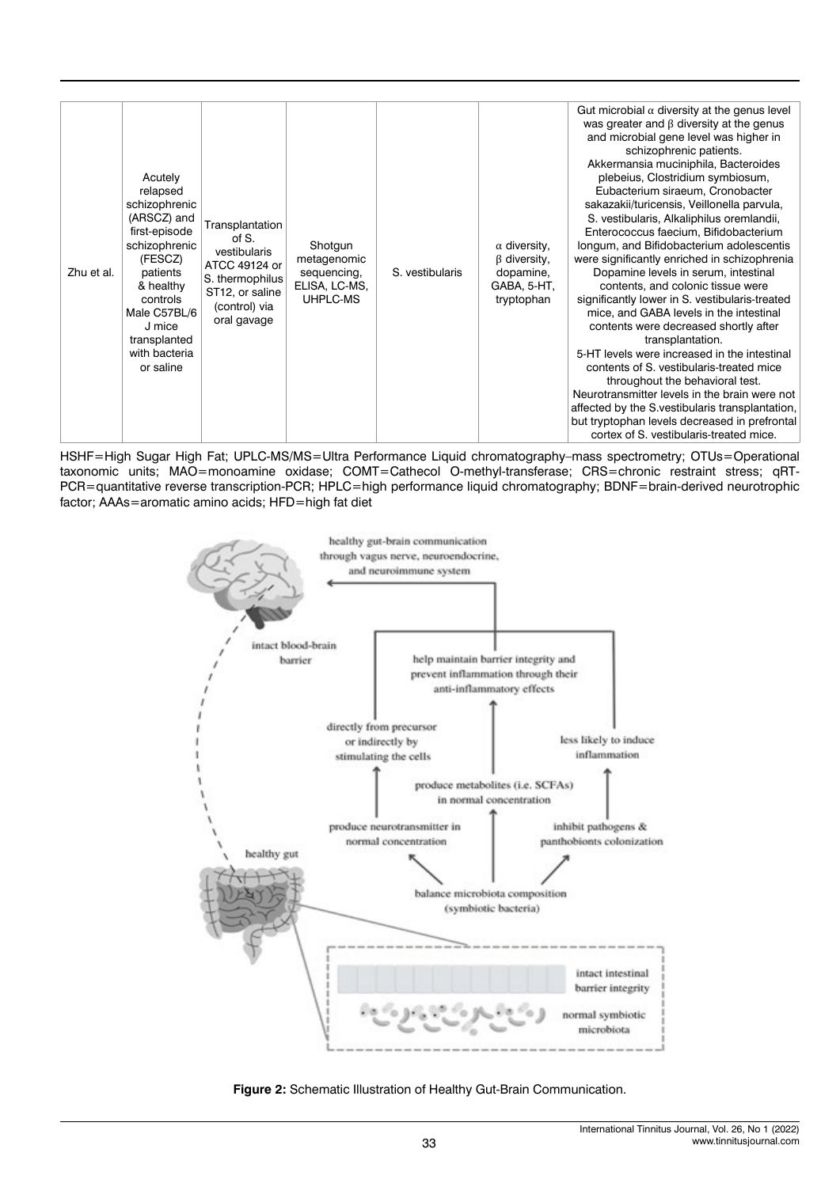| Zhu et al. | Acutely<br>relapsed<br>schizophrenic<br>(ARSCZ) and<br>first-episode<br>schizophrenic<br>(FESCZ)<br>patients<br>& healthy<br>controls<br>Male C57BL/6<br>J mice<br>transplanted<br>with bacteria<br>or saline | Transplantation<br>of S.<br>vestibularis<br>ATCC 49124 or<br>S. thermophilus<br>ST12, or saline<br>(control) via<br>oral gavage | Shotgun<br>metagenomic<br>sequencing,<br>ELISA, LC-MS,<br>UHPLC-MS | S. vestibularis | $\alpha$ diversity,<br>$\beta$ diversity,<br>dopamine,<br>GABA, 5-HT,<br>tryptophan | Gut microbial $\alpha$ diversity at the genus level<br>was greater and $\beta$ diversity at the genus<br>and microbial gene level was higher in<br>schizophrenic patients.<br>Akkermansia muciniphila, Bacteroides<br>plebeius, Clostridium symbiosum,<br>Eubacterium siraeum, Cronobacter<br>sakazakii/turicensis, Veillonella parvula,<br>S. vestibularis, Alkaliphilus oremlandii,<br>Enterococcus faecium, Bifidobacterium<br>longum, and Bifidobacterium adolescentis<br>were significantly enriched in schizophrenia<br>Dopamine levels in serum, intestinal<br>contents, and colonic tissue were<br>significantly lower in S. vestibularis-treated<br>mice, and GABA levels in the intestinal<br>contents were decreased shortly after<br>transplantation.<br>5-HT levels were increased in the intestinal<br>contents of S. vestibularis-treated mice<br>throughout the behavioral test.<br>Neurotransmitter levels in the brain were not<br>affected by the S. vestibularis transplantation,<br>but tryptophan levels decreased in prefrontal<br>cortex of S. vestibularis-treated mice. |
|------------|---------------------------------------------------------------------------------------------------------------------------------------------------------------------------------------------------------------|---------------------------------------------------------------------------------------------------------------------------------|--------------------------------------------------------------------|-----------------|-------------------------------------------------------------------------------------|---------------------------------------------------------------------------------------------------------------------------------------------------------------------------------------------------------------------------------------------------------------------------------------------------------------------------------------------------------------------------------------------------------------------------------------------------------------------------------------------------------------------------------------------------------------------------------------------------------------------------------------------------------------------------------------------------------------------------------------------------------------------------------------------------------------------------------------------------------------------------------------------------------------------------------------------------------------------------------------------------------------------------------------------------------------------------------------------------|
|------------|---------------------------------------------------------------------------------------------------------------------------------------------------------------------------------------------------------------|---------------------------------------------------------------------------------------------------------------------------------|--------------------------------------------------------------------|-----------------|-------------------------------------------------------------------------------------|---------------------------------------------------------------------------------------------------------------------------------------------------------------------------------------------------------------------------------------------------------------------------------------------------------------------------------------------------------------------------------------------------------------------------------------------------------------------------------------------------------------------------------------------------------------------------------------------------------------------------------------------------------------------------------------------------------------------------------------------------------------------------------------------------------------------------------------------------------------------------------------------------------------------------------------------------------------------------------------------------------------------------------------------------------------------------------------------------|

HSHF=High Sugar High Fat; UPLC-MS/MS=Ultra Performance Liquid chromatography–mass spectrometry; OTUs=Operational taxonomic units; MAO=monoamine oxidase; COMT=Cathecol O-methyl-transferase; CRS=chronic restraint stress; qRT-PCR=quantitative reverse transcription-PCR; HPLC=high performance liquid chromatography; BDNF=brain-derived neurotrophic factor; AAAs=aromatic amino acids; HFD=high fat diet



**Figure 2:** Schematic Illustration of Healthy Gut-Brain Communication.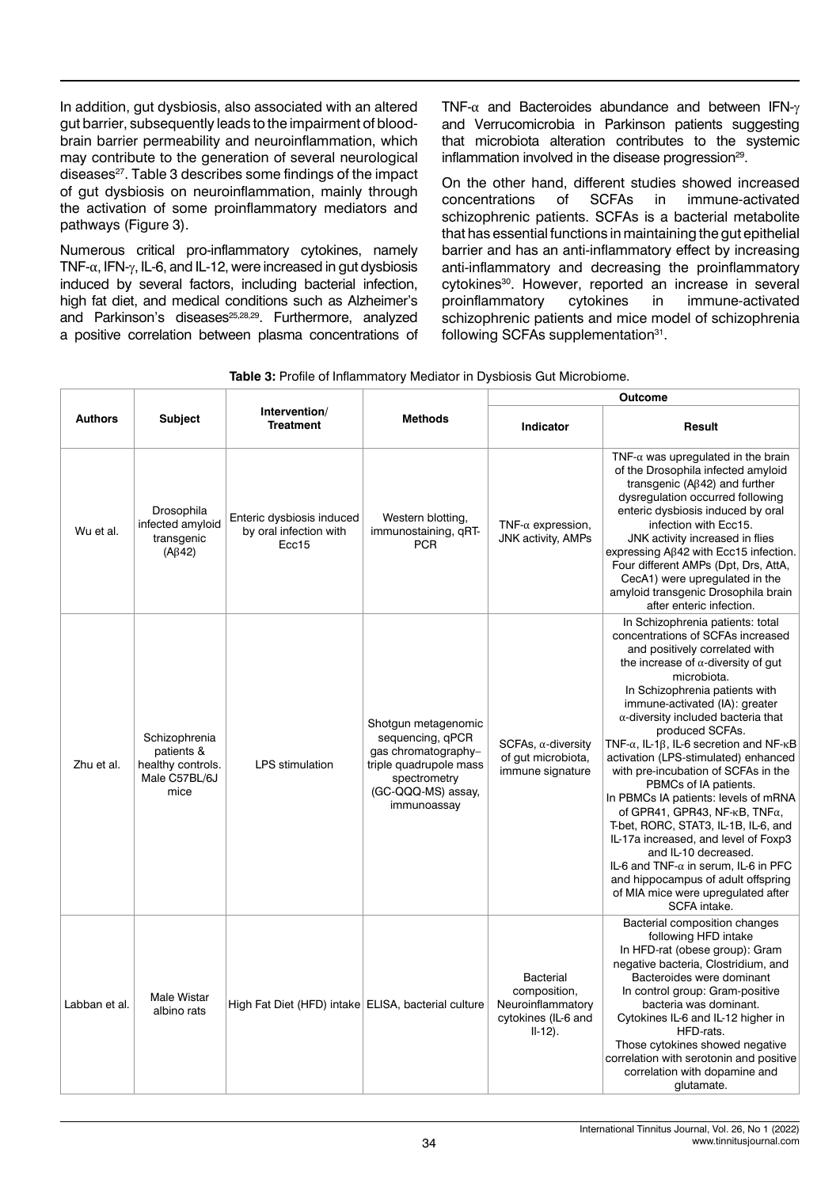In addition, gut dysbiosis, also associated with an altered gut barrier, subsequently leads to the impairment of bloodbrain barrier permeability and neuroinflammation, which may contribute to the generation of several neurological diseases<sup>27</sup>. Table 3 describes some findings of the impact of gut dysbiosis on neuroinflammation, mainly through the activation of some proinflammatory mediators and pathways (Figure 3).

Numerous critical pro-inflammatory cytokines, namely TNF- $\alpha$ , IFN- $\gamma$ , IL-6, and IL-12, were increased in gut dysbiosis induced by several factors, including bacterial infection, high fat diet, and medical conditions such as Alzheimer's and Parkinson's diseases<sup>25,28,29</sup>. Furthermore, analyzed a positive correlation between plasma concentrations of

TNF-α and Bacteroides abundance and between IFN-γ and Verrucomicrobia in Parkinson patients suggesting that microbiota alteration contributes to the systemic inflammation involved in the disease progression<sup>29</sup>.

On the other hand, different studies showed increased concentrations of SCFAs in immune-activated schizophrenic patients. SCFAs is a bacterial metabolite that has essential functions in maintaining the gut epithelial barrier and has an anti-inflammatory effect by increasing anti-inflammatory and decreasing the proinflammatory cytokines<sup>30</sup>. However, reported an increase in several proinflammatory cytokines in immune-activated proinflammatory cytokines in immune-activated schizophrenic patients and mice model of schizophrenia following SCFAs supplementation<sup>31</sup>.

|                |                                                                           |                                                              |                                                                                                                                               | Outcome                                                                             |                                                                                                                                                                                                                                                                                                                                                                                                                                                                                                                                                                                                                                                                                                                                                                                                                                      |  |  |
|----------------|---------------------------------------------------------------------------|--------------------------------------------------------------|-----------------------------------------------------------------------------------------------------------------------------------------------|-------------------------------------------------------------------------------------|--------------------------------------------------------------------------------------------------------------------------------------------------------------------------------------------------------------------------------------------------------------------------------------------------------------------------------------------------------------------------------------------------------------------------------------------------------------------------------------------------------------------------------------------------------------------------------------------------------------------------------------------------------------------------------------------------------------------------------------------------------------------------------------------------------------------------------------|--|--|
| <b>Authors</b> | <b>Subject</b>                                                            | Intervention/<br><b>Treatment</b>                            | <b>Methods</b>                                                                                                                                | Indicator                                                                           | Result                                                                                                                                                                                                                                                                                                                                                                                                                                                                                                                                                                                                                                                                                                                                                                                                                               |  |  |
| Wu et al.      | Drosophila<br>infected amyloid<br>transgenic<br>$(A\beta42)$              | Enteric dysbiosis induced<br>by oral infection with<br>Ecc15 | Western blotting,<br>immunostaining, qRT-<br><b>PCR</b>                                                                                       | TNF- $\alpha$ expression,<br><b>JNK activity, AMPs</b>                              | TNF- $\alpha$ was upregulated in the brain<br>of the Drosophila infected amyloid<br>transgenic ( $A\beta$ 42) and further<br>dysregulation occurred following<br>enteric dysbiosis induced by oral<br>infection with Ecc15.<br>JNK activity increased in flies<br>expressing $A\beta 42$ with Ecc15 infection.<br>Four different AMPs (Dpt, Drs, AttA,<br>CecA1) were upregulated in the<br>amyloid transgenic Drosophila brain<br>after enteric infection.                                                                                                                                                                                                                                                                                                                                                                          |  |  |
| Zhu et al.     | Schizophrenia<br>patients &<br>healthy controls.<br>Male C57BL/6J<br>mice | <b>LPS</b> stimulation                                       | Shotgun metagenomic<br>sequencing, qPCR<br>gas chromatography-<br>triple quadrupole mass<br>spectrometry<br>(GC-QQQ-MS) assay,<br>immunoassay | $SCFAs, \alpha$ -diversity<br>of gut microbiota,<br>immune signature                | In Schizophrenia patients: total<br>concentrations of SCFAs increased<br>and positively correlated with<br>the increase of $\alpha$ -diversity of gut<br>microbiota.<br>In Schizophrenia patients with<br>immune-activated (IA): greater<br>$\alpha$ -diversity included bacteria that<br>produced SCFAs.<br>TNF- $\alpha$ , IL-1 $\beta$ , IL-6 secretion and NF- $\kappa$ B<br>activation (LPS-stimulated) enhanced<br>with pre-incubation of SCFAs in the<br>PBMCs of IA patients.<br>In PBMCs IA patients: levels of mRNA<br>of GPR41, GPR43, NF- $\kappa$ B, TNF $\alpha$ ,<br>T-bet, RORC, STAT3, IL-1B, IL-6, and<br>IL-17a increased, and level of Foxp3<br>and IL-10 decreased.<br>IL-6 and TNF- $\alpha$ in serum, IL-6 in PFC<br>and hippocampus of adult offspring<br>of MIA mice were upregulated after<br>SCFA intake. |  |  |
| Labban et al.  | <b>Male Wistar</b><br>albino rats                                         | High Fat Diet (HFD) intake ELISA, bacterial culture          |                                                                                                                                               | Bacterial<br>composition,<br>Neuroinflammatory<br>cytokines (IL-6 and<br>$II-12$ ). | Bacterial composition changes<br>following HFD intake<br>In HFD-rat (obese group): Gram<br>negative bacteria, Clostridium, and<br>Bacteroides were dominant<br>In control group: Gram-positive<br>bacteria was dominant.<br>Cytokines IL-6 and IL-12 higher in<br>HFD-rats.<br>Those cytokines showed negative<br>correlation with serotonin and positive<br>correlation with dopamine and<br>glutamate.                                                                                                                                                                                                                                                                                                                                                                                                                             |  |  |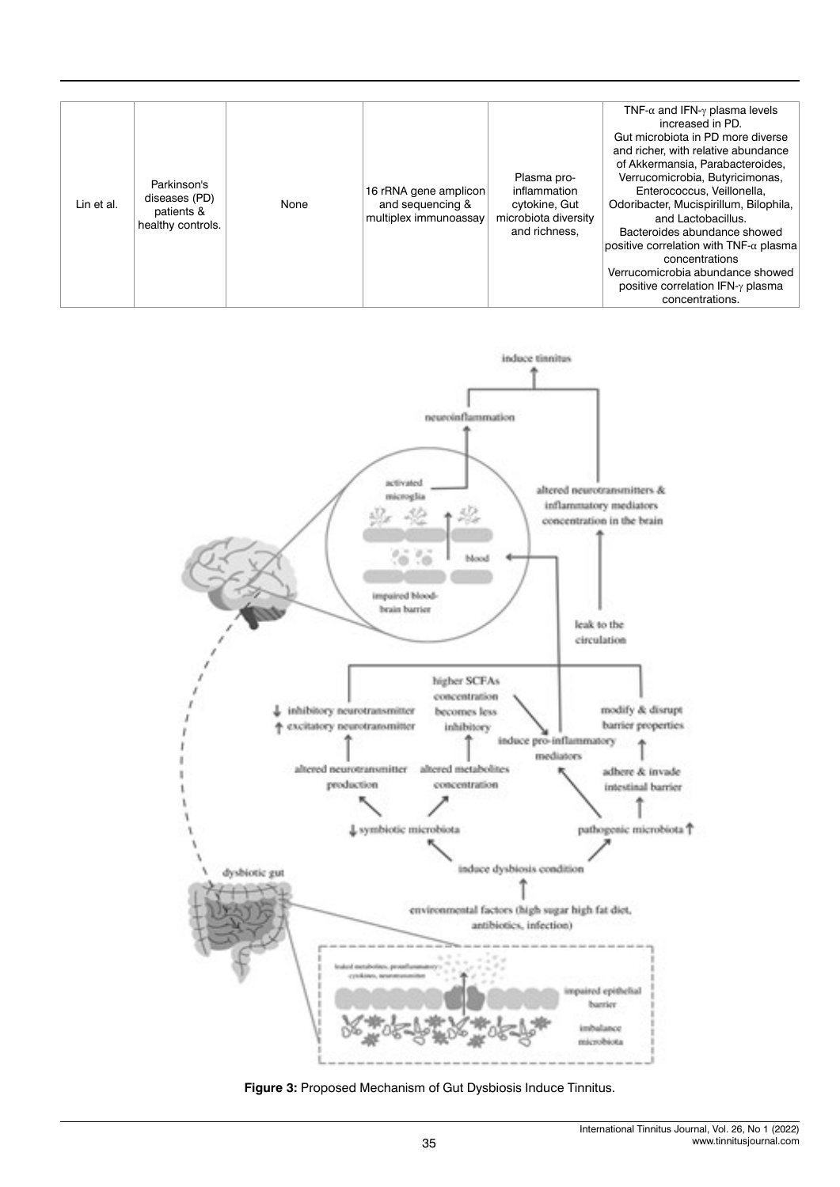| Lin et al. | Parkinson's<br>diseases (PD)<br>patients &<br>healthy controls. | None | 16 rRNA gene amplicon<br>and sequencing &<br>multiplex immunoassay | Plasma pro-<br>inflammation<br>cytokine, Gut<br>microbiota diversity<br>and richness. | TNF- $\alpha$ and IFN- $\gamma$ plasma levels<br>increased in PD.<br>Gut microbiota in PD more diverse<br>and richer, with relative abundance<br>of Akkermansia, Parabacteroides,<br>Verrucomicrobia, Butyricimonas,<br>Enterococcus, Veillonella.<br>Odoribacter, Mucispirillum, Bilophila,<br>and Lactobacillus.<br>Bacteroides abundance showed<br>positive correlation with $TNF$ - $\alpha$ plasma<br>concentrations<br>Verrucomicrobia abundance showed<br>positive correlation IFN- $\gamma$ plasma<br>concentrations. |
|------------|-----------------------------------------------------------------|------|--------------------------------------------------------------------|---------------------------------------------------------------------------------------|-------------------------------------------------------------------------------------------------------------------------------------------------------------------------------------------------------------------------------------------------------------------------------------------------------------------------------------------------------------------------------------------------------------------------------------------------------------------------------------------------------------------------------|
|------------|-----------------------------------------------------------------|------|--------------------------------------------------------------------|---------------------------------------------------------------------------------------|-------------------------------------------------------------------------------------------------------------------------------------------------------------------------------------------------------------------------------------------------------------------------------------------------------------------------------------------------------------------------------------------------------------------------------------------------------------------------------------------------------------------------------|



**Figure 3:** Proposed Mechanism of Gut Dysbiosis Induce Tinnitus.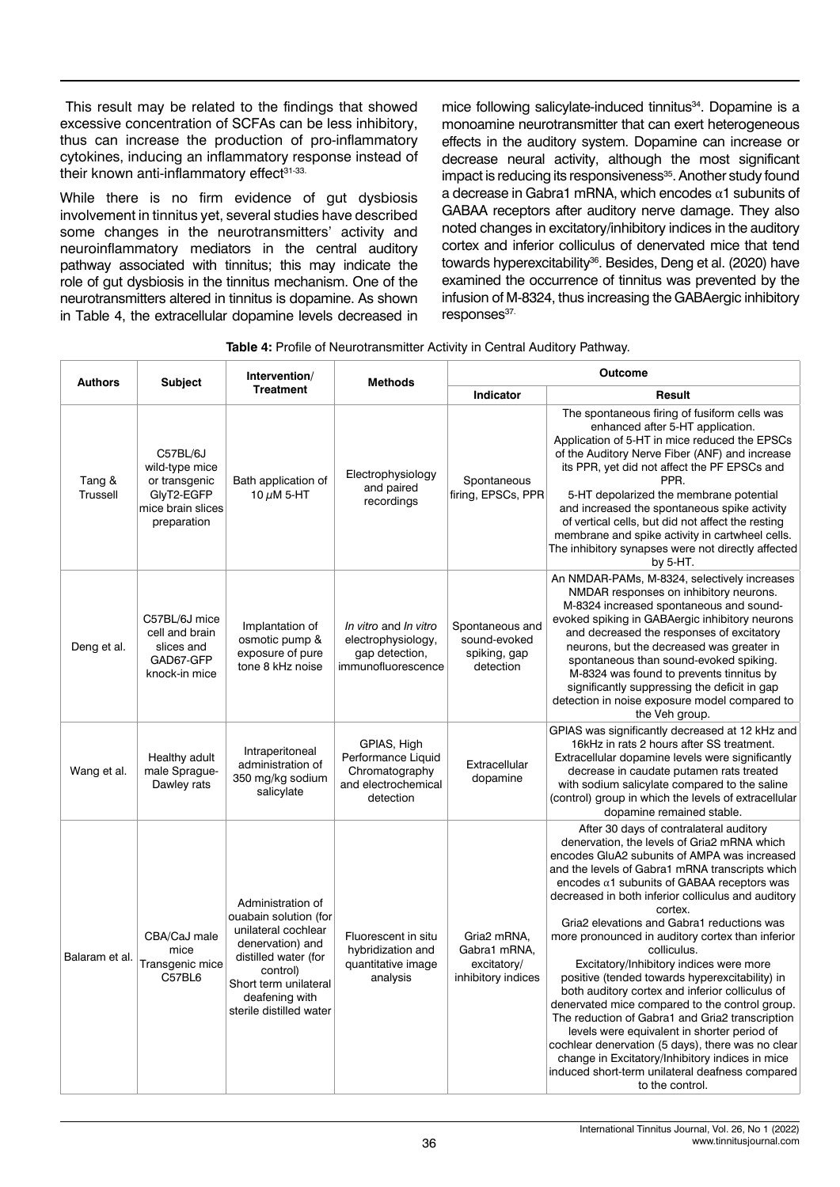This result may be related to the findings that showed excessive concentration of SCFAs can be less inhibitory, thus can increase the production of pro-inflammatory cytokines, inducing an inflammatory response instead of their known anti-inflammatory effect<sup>31-33.</sup>

While there is no firm evidence of gut dysbiosis involvement in tinnitus yet, several studies have described some changes in the neurotransmitters' activity and neuroinflammatory mediators in the central auditory pathway associated with tinnitus; this may indicate the role of gut dysbiosis in the tinnitus mechanism. One of the neurotransmitters altered in tinnitus is dopamine. As shown in Table 4, the extracellular dopamine levels decreased in mice following salicylate-induced tinnitus<sup>34</sup>. Dopamine is a monoamine neurotransmitter that can exert heterogeneous effects in the auditory system. Dopamine can increase or decrease neural activity, although the most significant impact is reducing its responsiveness<sup>35</sup>. Another study found a decrease in Gabra1 mRNA, which encodes  $\alpha$ 1 subunits of GABAA receptors after auditory nerve damage. They also noted changes in excitatory/inhibitory indices in the auditory cortex and inferior colliculus of denervated mice that tend towards hyperexcitability<sup>36</sup>. Besides, Deng et al. (2020) have examined the occurrence of tinnitus was prevented by the infusion of M-8324, thus increasing the GABAergic inhibitory responses<sup>37.</sup>

| <b>Table 4: Profile of Neurotransmitter Activity in Central Auditory Pathway.</b> |
|-----------------------------------------------------------------------------------|
|-----------------------------------------------------------------------------------|

| <b>Authors</b>     | <b>Subject</b>                                                                                | Intervention/                                                                                                                                                                                   | <b>Methods</b>                                                                          | Outcome                                                          |                                                                                                                                                                                                                                                                                                                                                                                                                                                                                                                                                                                                                                                                                                                                                                                                                                                                                                                     |  |
|--------------------|-----------------------------------------------------------------------------------------------|-------------------------------------------------------------------------------------------------------------------------------------------------------------------------------------------------|-----------------------------------------------------------------------------------------|------------------------------------------------------------------|---------------------------------------------------------------------------------------------------------------------------------------------------------------------------------------------------------------------------------------------------------------------------------------------------------------------------------------------------------------------------------------------------------------------------------------------------------------------------------------------------------------------------------------------------------------------------------------------------------------------------------------------------------------------------------------------------------------------------------------------------------------------------------------------------------------------------------------------------------------------------------------------------------------------|--|
|                    |                                                                                               | <b>Treatment</b>                                                                                                                                                                                |                                                                                         | <b>Indicator</b>                                                 | Result                                                                                                                                                                                                                                                                                                                                                                                                                                                                                                                                                                                                                                                                                                                                                                                                                                                                                                              |  |
| Tang &<br>Trussell | C57BL/6J<br>wild-type mice<br>or transgenic<br>GlyT2-EGFP<br>mice brain slices<br>preparation | Bath application of<br>10 $\mu$ M 5-HT                                                                                                                                                          | Electrophysiology<br>and paired<br>recordings                                           | Spontaneous<br>firing, EPSCs, PPR                                | The spontaneous firing of fusiform cells was<br>enhanced after 5-HT application.<br>Application of 5-HT in mice reduced the EPSCs<br>of the Auditory Nerve Fiber (ANF) and increase<br>its PPR, yet did not affect the PF EPSCs and<br>PPR.<br>5-HT depolarized the membrane potential<br>and increased the spontaneous spike activity<br>of vertical cells, but did not affect the resting<br>membrane and spike activity in cartwheel cells.<br>The inhibitory synapses were not directly affected<br>by 5-HT.                                                                                                                                                                                                                                                                                                                                                                                                    |  |
| Deng et al.        | C57BL/6J mice<br>cell and brain<br>slices and<br>GAD67-GFP<br>knock-in mice                   | Implantation of<br>osmotic pump &<br>exposure of pure<br>tone 8 kHz noise                                                                                                                       | In vitro and In vitro<br>electrophysiology,<br>gap detection,<br>immunofluorescence     | Spontaneous and<br>sound-evoked<br>spiking, gap<br>detection     | An NMDAR-PAMs, M-8324, selectively increases<br>NMDAR responses on inhibitory neurons.<br>M-8324 increased spontaneous and sound-<br>evoked spiking in GABAergic inhibitory neurons<br>and decreased the responses of excitatory<br>neurons, but the decreased was greater in<br>spontaneous than sound-evoked spiking.<br>M-8324 was found to prevents tinnitus by<br>significantly suppressing the deficit in gap<br>detection in noise exposure model compared to<br>the Veh group.                                                                                                                                                                                                                                                                                                                                                                                                                              |  |
| Wang et al.        | Healthy adult<br>male Sprague-<br>Dawley rats                                                 | Intraperitoneal<br>administration of<br>350 mg/kg sodium<br>salicylate                                                                                                                          | GPIAS, High<br>Performance Liquid<br>Chromatography<br>and electrochemical<br>detection | Extracellular<br>dopamine                                        | GPIAS was significantly decreased at 12 kHz and<br>16kHz in rats 2 hours after SS treatment.<br>Extracellular dopamine levels were significantly<br>decrease in caudate putamen rats treated<br>with sodium salicylate compared to the saline<br>(control) group in which the levels of extracellular<br>dopamine remained stable.                                                                                                                                                                                                                                                                                                                                                                                                                                                                                                                                                                                  |  |
| Balaram et al.     | CBA/CaJ male<br>mice<br>Transgenic mice<br>C57BL6                                             | Administration of<br>ouabain solution (for<br>unilateral cochlear<br>denervation) and<br>distilled water (for<br>control)<br>Short term unilateral<br>deafening with<br>sterile distilled water | Fluorescent in situ<br>hybridization and<br>quantitative image<br>analysis              | Gria2 mRNA,<br>Gabra1 mRNA,<br>excitatory/<br>inhibitory indices | After 30 days of contralateral auditory<br>denervation, the levels of Gria2 mRNA which<br>encodes GluA2 subunits of AMPA was increased<br>and the levels of Gabra1 mRNA transcripts which<br>encodes $\alpha$ 1 subunits of GABAA receptors was<br>decreased in both inferior colliculus and auditory<br>cortex.<br>Gria2 elevations and Gabra1 reductions was<br>more pronounced in auditory cortex than inferior<br>colliculus.<br>Excitatory/Inhibitory indices were more<br>positive (tended towards hyperexcitability) in<br>both auditory cortex and inferior colliculus of<br>denervated mice compared to the control group.<br>The reduction of Gabra1 and Gria2 transcription<br>levels were equivalent in shorter period of<br>cochlear denervation (5 days), there was no clear<br>change in Excitatory/Inhibitory indices in mice<br>induced short-term unilateral deafness compared<br>to the control. |  |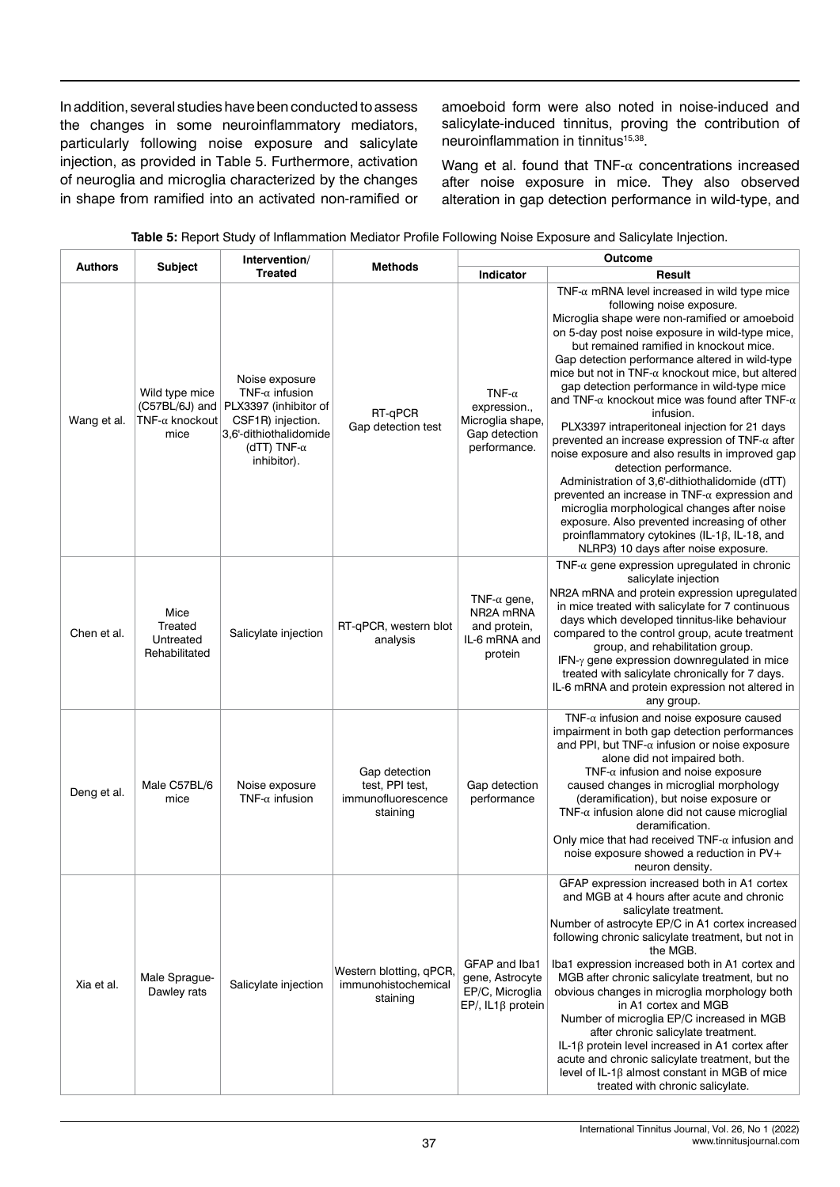In addition, several studies have been conducted to assess the changes in some neuroinflammatory mediators, particularly following noise exposure and salicylate injection, as provided in Table 5. Furthermore, activation of neuroglia and microglia characterized by the changes in shape from ramified into an activated non-ramified or

amoeboid form were also noted in noise-induced and salicylate-induced tinnitus, proving the contribution of neuroinflammation in tinnitus<sup>15,38</sup>.

Wang et al. found that  $TNF-\alpha$  concentrations increased after noise exposure in mice. They also observed alteration in gap detection performance in wild-type, and

| <b>Authors</b> | <b>Subject</b>                                                      | Intervention/                                                                                                                                          | <b>Methods</b>                                                     | Outcome                                                                            |                                                                                                                                                                                                                                                                                                                                                                                                                                                                                                                                                                                                                                                                                                                                                                                                                                                                                                                                                                               |
|----------------|---------------------------------------------------------------------|--------------------------------------------------------------------------------------------------------------------------------------------------------|--------------------------------------------------------------------|------------------------------------------------------------------------------------|-------------------------------------------------------------------------------------------------------------------------------------------------------------------------------------------------------------------------------------------------------------------------------------------------------------------------------------------------------------------------------------------------------------------------------------------------------------------------------------------------------------------------------------------------------------------------------------------------------------------------------------------------------------------------------------------------------------------------------------------------------------------------------------------------------------------------------------------------------------------------------------------------------------------------------------------------------------------------------|
|                |                                                                     | <b>Treated</b>                                                                                                                                         |                                                                    | Indicator                                                                          | Result                                                                                                                                                                                                                                                                                                                                                                                                                                                                                                                                                                                                                                                                                                                                                                                                                                                                                                                                                                        |
| Wang et al.    | Wild type mice<br>$(C57BL/6J)$ and<br>$TNF-\alpha$ knockout<br>mice | Noise exposure<br>TNF- $\alpha$ infusion<br>PLX3397 (inhibitor of<br>CSF1R) injection.<br>3,6'-dithiothalidomide<br>(dTT) TNF- $\alpha$<br>inhibitor). | RT-qPCR<br>Gap detection test                                      | TNF- $\alpha$<br>expression.,<br>Microglia shape,<br>Gap detection<br>performance. | $TNF-\alpha$ mRNA level increased in wild type mice<br>following noise exposure.<br>Microglia shape were non-ramified or amoeboid<br>on 5-day post noise exposure in wild-type mice,<br>but remained ramified in knockout mice.<br>Gap detection performance altered in wild-type<br>mice but not in TNF- $\alpha$ knockout mice, but altered<br>gap detection performance in wild-type mice<br>and TNF- $\alpha$ knockout mice was found after TNF- $\alpha$<br>infusion.<br>PLX3397 intraperitoneal injection for 21 days<br>prevented an increase expression of TNF- $\alpha$ after<br>noise exposure and also results in improved gap<br>detection performance.<br>Administration of 3,6'-dithiothalidomide (dTT)<br>prevented an increase in TNF- $\alpha$ expression and<br>microglia morphological changes after noise<br>exposure. Also prevented increasing of other<br>proinflammatory cytokines (IL-1 $\beta$ , IL-18, and<br>NLRP3) 10 days after noise exposure. |
| Chen et al.    | Mice<br>Treated<br>Untreated<br>Rehabilitated                       | Salicylate injection                                                                                                                                   | RT-qPCR, western blot<br>analysis                                  | TNF- $\alpha$ gene,<br>NR2A mRNA<br>and protein,<br>IL-6 mRNA and<br>protein       | TNF- $\alpha$ gene expression upregulated in chronic<br>salicylate injection<br>NR2A mRNA and protein expression upregulated<br>in mice treated with salicylate for 7 continuous<br>days which developed tinnitus-like behaviour<br>compared to the control group, acute treatment<br>group, and rehabilitation group.<br>IFN-y gene expression downregulated in mice<br>treated with salicylate chronically for 7 days.<br>IL-6 mRNA and protein expression not altered in<br>any group.                                                                                                                                                                                                                                                                                                                                                                                                                                                                                     |
| Deng et al.    | Male C57BL/6<br>mice                                                | Noise exposure<br>TNF- $\alpha$ infusion                                                                                                               | Gap detection<br>test, PPI test,<br>immunofluorescence<br>staining | Gap detection<br>performance                                                       | $TNF-\alpha$ infusion and noise exposure caused<br>impairment in both gap detection performances<br>and PPI, but TNF- $\alpha$ infusion or noise exposure<br>alone did not impaired both.<br>TNF- $\alpha$ infusion and noise exposure<br>caused changes in microglial morphology<br>(deramification), but noise exposure or<br>TNF- $\alpha$ infusion alone did not cause microglial<br>deramification.<br>Only mice that had received $TNF-\alpha$ infusion and<br>noise exposure showed a reduction in PV+<br>neuron density.                                                                                                                                                                                                                                                                                                                                                                                                                                              |
| Xia et al.     | Male Sprague-<br>Dawley rats                                        | Salicylate injection                                                                                                                                   | Western blotting, qPCR,<br>immunohistochemical<br>staining         | GFAP and Iba1<br>gene, Astrocyte<br>EP/C, Microglia<br>$EP/$ , IL1 $\beta$ protein | GFAP expression increased both in A1 cortex<br>and MGB at 4 hours after acute and chronic<br>salicylate treatment.<br>Number of astrocyte EP/C in A1 cortex increased<br>following chronic salicylate treatment, but not in<br>the MGB.<br>Iba1 expression increased both in A1 cortex and<br>MGB after chronic salicylate treatment, but no<br>obvious changes in microglia morphology both<br>in A1 cortex and MGB<br>Number of microglia EP/C increased in MGB<br>after chronic salicylate treatment.<br>IL-1ß protein level increased in A1 cortex after<br>acute and chronic salicylate treatment, but the<br>level of IL-1 $\beta$ almost constant in MGB of mice<br>treated with chronic salicylate.                                                                                                                                                                                                                                                                   |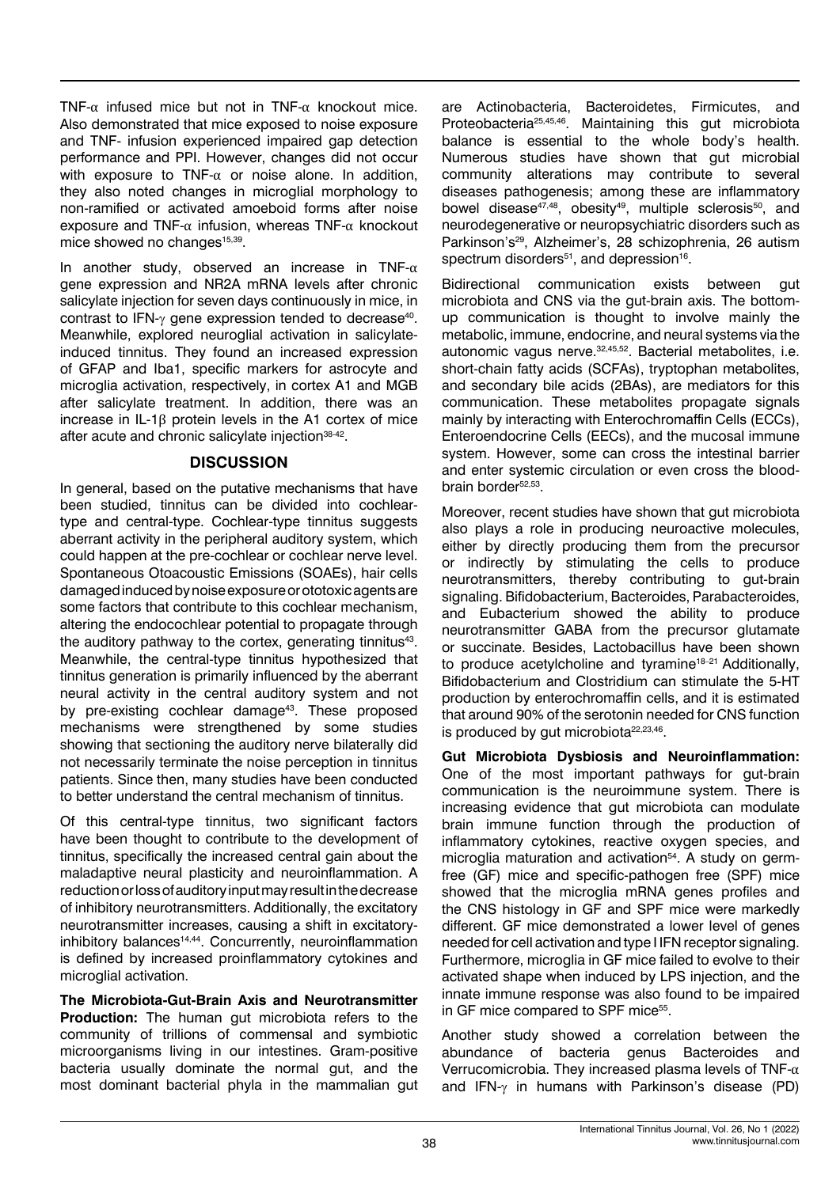TNF- $\alpha$  infused mice but not in TNF- $\alpha$  knockout mice. Also demonstrated that mice exposed to noise exposure and TNF- infusion experienced impaired gap detection performance and PPI. However, changes did not occur with exposure to TNF- $\alpha$  or noise alone. In addition, they also noted changes in microglial morphology to non-ramified or activated amoeboid forms after noise exposure and TNF-α infusion, whereas TNF-α knockout mice showed no changes<sup>15,39</sup>.

In another study, observed an increase in TNF- $\alpha$ gene expression and NR2A mRNA levels after chronic salicylate injection for seven days continuously in mice, in contrast to IFN-γ gene expression tended to decrease<sup>40</sup>. Meanwhile, explored neuroglial activation in salicylateinduced tinnitus. They found an increased expression of GFAP and Iba1, specific markers for astrocyte and microglia activation, respectively, in cortex A1 and MGB after salicylate treatment. In addition, there was an increase in IL-1β protein levels in the A1 cortex of mice after acute and chronic salicylate injection<sup>38-42</sup>.

# **DISCUSSION**

In general, based on the putative mechanisms that have been studied, tinnitus can be divided into cochleartype and central-type. Cochlear-type tinnitus suggests aberrant activity in the peripheral auditory system, which could happen at the pre-cochlear or cochlear nerve level. Spontaneous Otoacoustic Emissions (SOAEs), hair cells damaged induced by noise exposure or ototoxic agents are some factors that contribute to this cochlear mechanism, altering the endocochlear potential to propagate through the auditory pathway to the cortex, generating tinnitus<sup>43</sup>. Meanwhile, the central-type tinnitus hypothesized that tinnitus generation is primarily influenced by the aberrant neural activity in the central auditory system and not by pre-existing cochlear damage<sup>43</sup>. These proposed mechanisms were strengthened by some studies showing that sectioning the auditory nerve bilaterally did not necessarily terminate the noise perception in tinnitus patients. Since then, many studies have been conducted to better understand the central mechanism of tinnitus.

Of this central-type tinnitus, two significant factors have been thought to contribute to the development of tinnitus, specifically the increased central gain about the maladaptive neural plasticity and neuroinflammation. A reduction or loss of auditory input may result in the decrease of inhibitory neurotransmitters. Additionally, the excitatory neurotransmitter increases, causing a shift in excitatoryinhibitory balances14,44. Concurrently, neuroinflammation is defined by increased proinflammatory cytokines and microglial activation.

**The Microbiota-Gut-Brain Axis and Neurotransmitter Production:** The human gut microbiota refers to the community of trillions of commensal and symbiotic microorganisms living in our intestines. Gram-positive bacteria usually dominate the normal gut, and the most dominant bacterial phyla in the mammalian gut are Actinobacteria, Bacteroidetes, Firmicutes, and Proteobacteria25,45,46. Maintaining this gut microbiota balance is essential to the whole body's health. Numerous studies have shown that gut microbial community alterations may contribute to several diseases pathogenesis; among these are inflammatory bowel disease<sup>47,48</sup>, obesity<sup>49</sup>, multiple sclerosis<sup>50</sup>, and neurodegenerative or neuropsychiatric disorders such as Parkinson's<sup>29</sup>, Alzheimer's, 28 schizophrenia, 26 autism spectrum disorders<sup>51</sup>, and depression<sup>16</sup>.

Bidirectional communication exists between gut microbiota and CNS via the gut-brain axis. The bottomup communication is thought to involve mainly the metabolic, immune, endocrine, and neural systems via the autonomic vagus nerve.32,45,52. Bacterial metabolites, i.e. short-chain fatty acids (SCFAs), tryptophan metabolites, and secondary bile acids (2BAs), are mediators for this communication. These metabolites propagate signals mainly by interacting with Enterochromaffin Cells (ECCs), Enteroendocrine Cells (EECs), and the mucosal immune system. However, some can cross the intestinal barrier and enter systemic circulation or even cross the bloodbrain border<sup>52,53</sup>.

Moreover, recent studies have shown that gut microbiota also plays a role in producing neuroactive molecules, either by directly producing them from the precursor or indirectly by stimulating the cells to produce neurotransmitters, thereby contributing to gut-brain signaling. Bifidobacterium, Bacteroides, Parabacteroides, and Eubacterium showed the ability to produce neurotransmitter GABA from the precursor glutamate or succinate. Besides, Lactobacillus have been shown to produce acetylcholine and tyramine<sup>18-21</sup> Additionally, Bifidobacterium and Clostridium can stimulate the 5-HT production by enterochromaffin cells, and it is estimated that around 90% of the serotonin needed for CNS function is produced by gut microbiota $22,23,46$ .

**Gut Microbiota Dysbiosis and Neuroinflammation:**  One of the most important pathways for gut-brain communication is the neuroimmune system. There is increasing evidence that gut microbiota can modulate brain immune function through the production of inflammatory cytokines, reactive oxygen species, and microglia maturation and activation<sup>54</sup>. A study on germfree (GF) mice and specific-pathogen free (SPF) mice showed that the microglia mRNA genes profiles and the CNS histology in GF and SPF mice were markedly different. GF mice demonstrated a lower level of genes needed for cell activation and type I IFN receptor signaling. Furthermore, microglia in GF mice failed to evolve to their activated shape when induced by LPS injection, and the innate immune response was also found to be impaired in GF mice compared to SPF mice<sup>55</sup>.

Another study showed a correlation between the abundance of bacteria genus Bacteroides and Verrucomicrobia. They increased plasma levels of TNF-α and IFN- $\gamma$  in humans with Parkinson's disease (PD)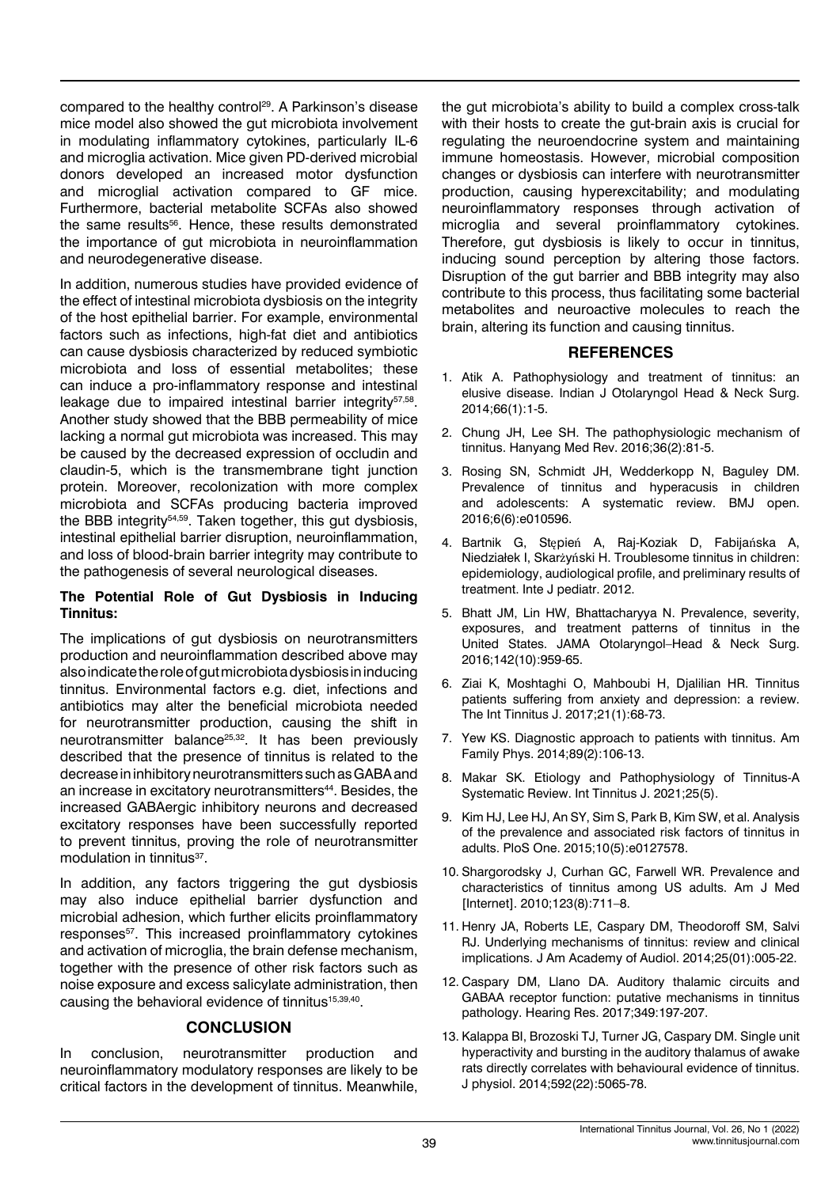compared to the healthy control<sup>29</sup>. A Parkinson's disease mice model also showed the gut microbiota involvement in modulating inflammatory cytokines, particularly IL-6 and microglia activation. Mice given PD-derived microbial donors developed an increased motor dysfunction and microglial activation compared to GF mice. Furthermore, bacterial metabolite SCFAs also showed the same results<sup>56</sup>. Hence, these results demonstrated the importance of gut microbiota in neuroinflammation and neurodegenerative disease.

In addition, numerous studies have provided evidence of the effect of intestinal microbiota dysbiosis on the integrity of the host epithelial barrier. For example, environmental factors such as infections, high-fat diet and antibiotics can cause dysbiosis characterized by reduced symbiotic microbiota and loss of essential metabolites; these can induce a pro-inflammatory response and intestinal leakage due to impaired intestinal barrier integrity<sup>57,58</sup>. Another study showed that the BBB permeability of mice lacking a normal gut microbiota was increased. This may be caused by the decreased expression of occludin and claudin-5, which is the transmembrane tight junction protein. Moreover, recolonization with more complex microbiota and SCFAs producing bacteria improved the BBB integrity<sup>54,59</sup>. Taken together, this gut dysbiosis, intestinal epithelial barrier disruption, neuroinflammation, and loss of blood-brain barrier integrity may contribute to the pathogenesis of several neurological diseases.

#### **The Potential Role of Gut Dysbiosis in Inducing Tinnitus:**

The implications of gut dysbiosis on neurotransmitters production and neuroinflammation described above may also indicate the role of gut microbiota dysbiosis in inducing tinnitus. Environmental factors e.g. diet, infections and antibiotics may alter the beneficial microbiota needed for neurotransmitter production, causing the shift in neurotransmitter balance<sup>25,32</sup>. It has been previously described that the presence of tinnitus is related to the decrease in inhibitory neurotransmitters such as GABA and an increase in excitatory neurotransmitters<sup>44</sup>. Besides, the increased GABAergic inhibitory neurons and decreased excitatory responses have been successfully reported to prevent tinnitus, proving the role of neurotransmitter modulation in tinnitus<sup>37</sup>.

In addition, any factors triggering the gut dysbiosis may also induce epithelial barrier dysfunction and microbial adhesion, which further elicits proinflammatory responses<sup>57</sup>. This increased proinflammatory cytokines and activation of microglia, the brain defense mechanism, together with the presence of other risk factors such as noise exposure and excess salicylate administration, then causing the behavioral evidence of tinnitus<sup>15,39,40</sup>.

# **CONCLUSION**

In conclusion, neurotransmitter production and neuroinflammatory modulatory responses are likely to be critical factors in the development of tinnitus. Meanwhile, the gut microbiota's ability to build a complex cross-talk with their hosts to create the gut-brain axis is crucial for regulating the neuroendocrine system and maintaining immune homeostasis. However, microbial composition changes or dysbiosis can interfere with neurotransmitter production, causing hyperexcitability; and modulating neuroinflammatory responses through activation of microglia and several proinflammatory cytokines. Therefore, gut dysbiosis is likely to occur in tinnitus, inducing sound perception by altering those factors. Disruption of the gut barrier and BBB integrity may also contribute to this process, thus facilitating some bacterial metabolites and neuroactive molecules to reach the brain, altering its function and causing tinnitus.

#### **REFERENCES**

- 1. Atik A. [Pathophysiology and treatment of tinnitus: an](https://link.springer.com/article/10.1007/s12070-011-0374-8)  [elusive disease.](https://link.springer.com/article/10.1007/s12070-011-0374-8) Indian J Otolaryngol Head & Neck Surg. 2014;66(1):1-5.
- 2. Chung JH, Lee SH. [The pathophysiologic mechanism of](https://synapse.koreamed.org/articles/1044299)  [tinnitus](https://synapse.koreamed.org/articles/1044299). Hanyang Med Rev. 2016;36(2):81-5.
- 3. Rosing SN, Schmidt JH, Wedderkopp N, Baguley DM. [Prevalence of tinnitus and hyperacusis in children](https://bmjopen.bmj.com/content/6/6/e010596.short)  [and adolescents: A systematic review](https://bmjopen.bmj.com/content/6/6/e010596.short). BMJ open. 2016;6(6):e010596.
- 4. Bartnik G, Stępień A, Raj-Koziak D, Fabijańska A, Niedziałek I, Skarżyński H. [Troublesome tinnitus in children:](https://www.hindawi.com/journals/ijpedi/2012/945356/)  [epidemiology, audiological profile, and preliminary results of](https://www.hindawi.com/journals/ijpedi/2012/945356/)  [treatment.](https://www.hindawi.com/journals/ijpedi/2012/945356/) Inte J pediatr. 2012.
- 5. Bhatt JM, Lin HW, Bhattacharyya N. Prevalence, severity, exposures, and treatment patterns of tinnitus in the United States. JAMA Otolaryngol–Head & Neck Surg. 2016;142(10):959-65.
- 6. Ziai K, Moshtaghi O, Mahboubi H, Djalilian HR. [Tinnitus](https://www.tinnitusjournal.com/abstract/tinnitus-patients-suffering-from-anxiety-and-depression-a-review-7659.html)  [patients suffering from anxiety and depression: a review.](https://www.tinnitusjournal.com/abstract/tinnitus-patients-suffering-from-anxiety-and-depression-a-review-7659.html) The Int Tinnitus J. 2017;21(1):68-73.
- 7. Yew KS. [Diagnostic approach to patients with tinnitus.](https://www.aafp.org/afp/2014/0115/p106) Am Family Phys. 2014;89(2):106-13.
- 8. Makar SK. [Etiology and Pathophysiology of Tinnitus-A](https://www.tinnitusjournal.com/articles/etiology-and-pathophysiology-of-tinnitus--a-systematic-review.pdf)  [Systematic Review.](https://www.tinnitusjournal.com/articles/etiology-and-pathophysiology-of-tinnitus--a-systematic-review.pdf) Int Tinnitus J. 2021;25(5).
- 9. Kim HJ, Lee HJ, An SY, Sim S, Park B, Kim SW, et al. [Analysis](https://journals.plos.org/plosone/article?id=10.1371/journal.pone.0127578&utm_source=nl_landingpage&utm_medium=mobile&utm_campaign=covid_bytes_daily_newsletter)  [of the prevalence and associated risk factors of tinnitus in](https://journals.plos.org/plosone/article?id=10.1371/journal.pone.0127578&utm_source=nl_landingpage&utm_medium=mobile&utm_campaign=covid_bytes_daily_newsletter)  [adults.](https://journals.plos.org/plosone/article?id=10.1371/journal.pone.0127578&utm_source=nl_landingpage&utm_medium=mobile&utm_campaign=covid_bytes_daily_newsletter) PloS One. 2015;10(5):e0127578.
- 10. Shargorodsky J, Curhan GC, Farwell WR. [Prevalence and](https://www.sciencedirect.com/science/article/abs/pii/S000293431000344X)  [characteristics of tinnitus among US adults.](https://www.sciencedirect.com/science/article/abs/pii/S000293431000344X) Am J Med [Internet]. 2010;123(8):711–8.
- 11. Henry JA, Roberts LE, Caspary DM, Theodoroff SM, Salvi RJ. [Underlying mechanisms of tinnitus: review and clinical](https://www.thieme-connect.com/products/ejournals/abstract/10.3766/jaaa.25.1.2)  [implications](https://www.thieme-connect.com/products/ejournals/abstract/10.3766/jaaa.25.1.2). J Am Academy of Audiol. 2014;25(01):005-22.
- 12. Caspary DM, Llano DA. [Auditory thalamic circuits and](https://www.sciencedirect.com/science/article/pii/S0378595516302131)  [GABAA receptor function: putative mechanisms in tinnitus](https://www.sciencedirect.com/science/article/pii/S0378595516302131)  [pathology.](https://www.sciencedirect.com/science/article/pii/S0378595516302131) Hearing Res. 2017;349:197-207.
- 13. Kalappa BI, Brozoski TJ, Turner JG, Caspary DM. [Single unit](https://physoc.onlinelibrary.wiley.com/doi/full/10.1113/jphysiol.2014.278572)  [hyperactivity and bursting in the auditory thalamus of awake](https://physoc.onlinelibrary.wiley.com/doi/full/10.1113/jphysiol.2014.278572)  [rats directly correlates with behavioural evidence of tinnitus.](https://physoc.onlinelibrary.wiley.com/doi/full/10.1113/jphysiol.2014.278572) J physiol. 2014;592(22):5065-78.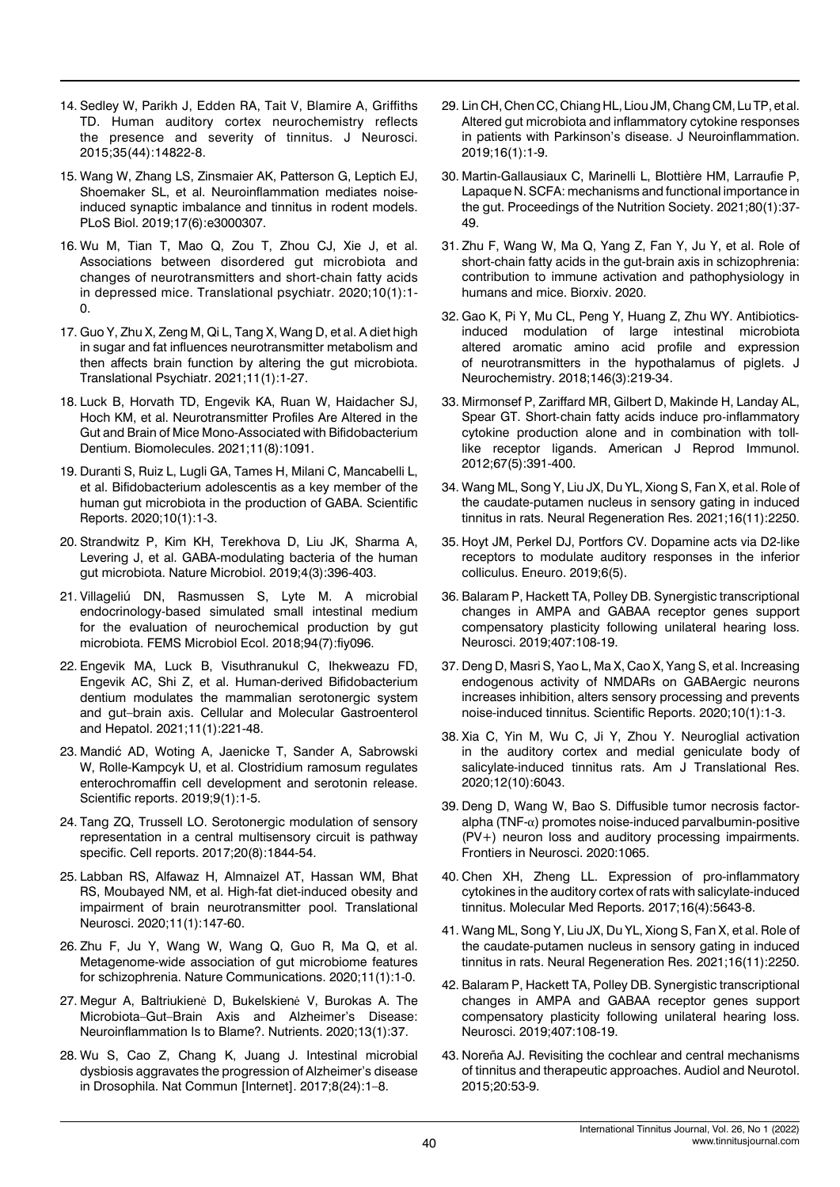- 14. Sedley W, Parikh J, Edden RA, Tait V, Blamire A, Griffiths TD. [Human auditory cortex neurochemistry reflects](https://www.jneurosci.org/content/35/44/14822.short) [the presence and severity of tinnitus.](https://www.jneurosci.org/content/35/44/14822.short) J Neurosci. 2015;35(44):14822-8.
- 15. Wang W, Zhang LS, Zinsmaier AK, Patterson G, Leptich EJ, Shoemaker SL, et al. [Neuroinflammation mediates noise](https://journals.plos.org/plosbiology/article?id=10.1371/journal.pbio.3000307)[induced synaptic imbalance and tinnitus in rodent models.](https://journals.plos.org/plosbiology/article?id=10.1371/journal.pbio.3000307) PLoS Biol. 2019;17(6):e3000307.
- 16. Wu M, Tian T, Mao Q, Zou T, Zhou CJ, Xie J, et al. [Associations between disordered gut microbiota and](https://www.nature.com/articles/s41398-020-01038-3) [changes of neurotransmitters and short-chain fatty acids](https://www.nature.com/articles/s41398-020-01038-3) [in depressed mice.](https://www.nature.com/articles/s41398-020-01038-3) Translational psychiatr. 2020;10(1):1- 0.
- 17. Guo Y, Zhu X, Zeng M, Qi L, Tang X, Wang D, et al. [A diet high](https://www.nature.com/articles/s41398-021-01443-2) [in sugar and fat influences neurotransmitter metabolism and](https://www.nature.com/articles/s41398-021-01443-2) [then affects brain function by altering the gut microbiota.](https://www.nature.com/articles/s41398-021-01443-2) Translational Psychiatr. 2021;11(1):1-27.
- 18. Luck B, Horvath TD, Engevik KA, Ruan W, Haidacher SJ, Hoch KM, et al. [Neurotransmitter Profiles Are Altered in the](https://www.mdpi.com/2218-273X/11/8/1091) [Gut and Brain of Mice Mono-Associated with Bifidobacterium](https://www.mdpi.com/2218-273X/11/8/1091) [Dentium](https://www.mdpi.com/2218-273X/11/8/1091). Biomolecules. 2021;11(8):1091.
- 19. Duranti S, Ruiz L, Lugli GA, Tames H, Milani C, Mancabelli L, et al. [Bifidobacterium adolescentis as a key member of the](https://www.nature.com/articles/s41598-020-70986-z) [human gut microbiota in the production of GABA.](https://www.nature.com/articles/s41598-020-70986-z) Scientific Reports. 2020;10(1):1-3.
- 20. Strandwitz P, Kim KH, Terekhova D, Liu JK, Sharma A, Levering J, et al. [GABA-modulating bacteria of the human](https://www.nature.com/articles/s41564-018-0307-3) [gut microbiota.](https://www.nature.com/articles/s41564-018-0307-3) Nature Microbiol. 2019;4(3):396-403.
- 21. Villageliú DN, Rasmussen S, Lyte M. [A microbial](https://academic.oup.com/femsec/article-abstract/94/7/fiy096/5000163) [endocrinology-based simulated small intestinal medium](https://academic.oup.com/femsec/article-abstract/94/7/fiy096/5000163) [for the evaluation of neurochemical production by gut](https://academic.oup.com/femsec/article-abstract/94/7/fiy096/5000163) [microbiota](https://academic.oup.com/femsec/article-abstract/94/7/fiy096/5000163). FEMS Microbiol Ecol. 2018;94(7):fiy096.
- 22. Engevik MA, Luck B, Visuthranukul C, Ihekweazu FD, Engevik AC, Shi Z, et al. [Human-derived Bifidobacterium](https://www.sciencedirect.com/science/article/pii/S2352345X20301260) [dentium modulates the mammalian serotonergic system](https://www.sciencedirect.com/science/article/pii/S2352345X20301260) [and gut–brain axis.](https://www.sciencedirect.com/science/article/pii/S2352345X20301260) Cellular and Molecular Gastroenterol and Hepatol. 2021;11(1):221-48.
- 23. Mandić AD, Woting A, Jaenicke T, Sander A, Sabrowski W, Rolle-Kampcyk U, et al. [Clostridium ramosum regulates](https://www.nature.com/articles/s41598-018-38018-z) [enterochromaffin cell development and serotonin release.](https://www.nature.com/articles/s41598-018-38018-z) Scientific reports. 2019;9(1):1-5.
- 24. Tang ZQ, Trussell LO. [Serotonergic modulation of sensory](https://www.sciencedirect.com/science/article/pii/S2211124717310987) [representation in a central multisensory circuit is pathway](https://www.sciencedirect.com/science/article/pii/S2211124717310987) [specific](https://www.sciencedirect.com/science/article/pii/S2211124717310987). Cell reports. 2017;20(8):1844-54.
- 25. Labban RS, Alfawaz H, Almnaizel AT, Hassan WM, Bhat RS, Moubayed NM, et al. [High-fat diet-induced obesity and](https://www.degruyter.com/document/doi/10.1515/tnsci-2020-0099/html) [impairment of brain neurotransmitter pool.](https://www.degruyter.com/document/doi/10.1515/tnsci-2020-0099/html) Translational Neurosci. 2020;11(1):147-60.
- 26. Zhu F, Ju Y, Wang W, Wang Q, Guo R, Ma Q, et al. [Metagenome-wide association of gut microbiome features](https://www.nature.com/articles/s41467-020-15457-9) [for schizophrenia](https://www.nature.com/articles/s41467-020-15457-9). Nature Communications. 2020;11(1):1-0.
- 27. Megur A, Baltriukienė D, Bukelskienė V, Burokas A. [The](https://www.mdpi.com/2072-6643/13/1/37) [Microbiota–Gut–Brain Axis and Alzheimer's Disease:](https://www.mdpi.com/2072-6643/13/1/37) [Neuroinflammation Is to Blame?.](https://www.mdpi.com/2072-6643/13/1/37) Nutrients. 2020;13(1):37.
- 28. Wu S, Cao Z, Chang K, Juang J. [Intestinal microbial](https://www.nature.com/articles/s41467-017-00040-6) [dysbiosis aggravates the progression of Alzheimer's disease](https://www.nature.com/articles/s41467-017-00040-6) [in Drosophila.](https://www.nature.com/articles/s41467-017-00040-6) Nat Commun [Internet]. 2017;8(24):1–8.
- 29. Lin CH, Chen CC, Chiang HL, Liou JM, Chang CM, Lu TP, et al. [Altered gut microbiota and inflammatory cytokine responses](https://jneuroinflammation.biomedcentral.com/articles/10.1186/s12974-019-1528-y)  [in patients with Parkinson's disease.](https://jneuroinflammation.biomedcentral.com/articles/10.1186/s12974-019-1528-y) J Neuroinflammation. 2019;16(1):1-9.
- 30. Martin-Gallausiaux C, Marinelli L, Blottière HM, Larraufie P, Lapaque N. [SCFA: mechanisms and functional importance in](https://www.cambridge.org/core/journals/proceedings-of-the-nutrition-society/article/scfa-mechanisms-and-functional-importance-in-the-gut/6EC53433CF2A6B17F009D1B333C0BC59)  [the gut](https://www.cambridge.org/core/journals/proceedings-of-the-nutrition-society/article/scfa-mechanisms-and-functional-importance-in-the-gut/6EC53433CF2A6B17F009D1B333C0BC59). Proceedings of the Nutrition Society. 2021;80(1):37- 49.
- 31. Zhu F, Wang W, Ma Q, Yang Z, Fan Y, Ju Y, et al. [Role of](https://www.biorxiv.org/content/10.1101/2020.04.11.021915.abstract)  [short-chain fatty acids in the gut-brain axis in schizophrenia:](https://www.biorxiv.org/content/10.1101/2020.04.11.021915.abstract)  [contribution to immune activation and pathophysiology in](https://www.biorxiv.org/content/10.1101/2020.04.11.021915.abstract)  [humans and mice](https://www.biorxiv.org/content/10.1101/2020.04.11.021915.abstract). Biorxiv. 2020.
- 32. Gao K, Pi Y, Mu CL, Peng Y, Huang Z, Zhu WY. [Antibiotics](https://onlinelibrary.wiley.com/doi/full/10.1111/jnc.14333)‐ [induced modulation of large intestinal microbiota](https://onlinelibrary.wiley.com/doi/full/10.1111/jnc.14333)  [altered aromatic amino acid profile and expression](https://onlinelibrary.wiley.com/doi/full/10.1111/jnc.14333)  [of neurotransmitters in the hypothalamus of piglets.](https://onlinelibrary.wiley.com/doi/full/10.1111/jnc.14333) J Neurochemistry. 2018;146(3):219-34.
- 33. Mirmonsef P, Zariffard MR, Gilbert D, Makinde H, Landay AL, Spear GT. Short‐[chain fatty acids induce pro](https://onlinelibrary.wiley.com/doi/abs/10.1111/j.1600-0897.2011.01089.x)‐inflammatory [cytokine production alone and in combination with toll](https://onlinelibrary.wiley.com/doi/abs/10.1111/j.1600-0897.2011.01089.x)‐ [like receptor ligands.](https://onlinelibrary.wiley.com/doi/abs/10.1111/j.1600-0897.2011.01089.x) American J Reprod Immunol. 2012;67(5):391-400.
- 34. Wang ML, Song Y, Liu JX, Du YL, Xiong S, Fan X, et al. [Role of](https://xueshu.baidu.com/usercenter/paper/show?paperid=1h240jw0x71k0850kj4t08r0su394805&sc_from=pingtai4&cmd=paper_forward&title=Role+of+the+caudate-putamen+nucleus+in+sensory+gating+in+induced+tinnitus+in+rats&wise=0)  [the caudate-putamen nucleus in sensory gating in induced](https://xueshu.baidu.com/usercenter/paper/show?paperid=1h240jw0x71k0850kj4t08r0su394805&sc_from=pingtai4&cmd=paper_forward&title=Role+of+the+caudate-putamen+nucleus+in+sensory+gating+in+induced+tinnitus+in+rats&wise=0)  [tinnitus in rats](https://xueshu.baidu.com/usercenter/paper/show?paperid=1h240jw0x71k0850kj4t08r0su394805&sc_from=pingtai4&cmd=paper_forward&title=Role+of+the+caudate-putamen+nucleus+in+sensory+gating+in+induced+tinnitus+in+rats&wise=0). Neural Regeneration Res. 2021;16(11):2250.
- 35. Hoyt JM, Perkel DJ, Portfors CV. Dopamine acts via D2-like receptors to modulate auditory responses in the inferior colliculus. Eneuro. 2019;6(5).
- 36. Balaram P, Hackett TA, Polley DB. [Synergistic transcriptional](https://www.sciencedirect.com/science/article/pii/S0306452218305682)  [changes in AMPA and GABAA receptor genes support](https://www.sciencedirect.com/science/article/pii/S0306452218305682)  [compensatory plasticity following unilateral hearing loss](https://www.sciencedirect.com/science/article/pii/S0306452218305682). Neurosci. 2019;407:108-19.
- 37. Deng D, Masri S, Yao L, Ma X, Cao X, Yang S, et al. [Increasing](https://www.nature.com/articles/s41598-020-68652-5)  [endogenous activity of NMDARs on GABAergic neurons](https://www.nature.com/articles/s41598-020-68652-5)  [increases inhibition, alters sensory processing and prevents](https://www.nature.com/articles/s41598-020-68652-5)  [noise-induced tinnitus.](https://www.nature.com/articles/s41598-020-68652-5) Scientific Reports. 2020;10(1):1-3.
- 38. Xia C, Yin M, Wu C, Ji Y, Zhou Y. Neuroglial activation in the auditory cortex and medial geniculate body of salicylate-induced tinnitus rats. Am J Translational Res. 2020;12(10):6043.
- 39. Deng D, Wang W, Bao S[. Diffusible tumor necrosis factor](https://www.frontiersin.org/articles/10.3389/fnins.2020.573047/full)alpha (TNF-α[\) promotes noise-induced parvalbumin-positive](https://www.frontiersin.org/articles/10.3389/fnins.2020.573047/full)  [\(PV+\) neuron loss and auditory processing impairments.](https://www.frontiersin.org/articles/10.3389/fnins.2020.573047/full) Frontiers in Neurosci. 2020:1065.
- 40. Chen XH, Zheng LL. [Expression of pro-inflammatory](https://www.spandidos-publications.com/mmr/16/4/5643)  [cytokines in the auditory cortex of rats with salicylate-induced](https://www.spandidos-publications.com/mmr/16/4/5643)  [tinnitus](https://www.spandidos-publications.com/mmr/16/4/5643). Molecular Med Reports. 2017;16(4):5643-8.
- 41. Wang ML, Song Y, Liu JX, Du YL, Xiong S, Fan X, et al. [Role of](https://xueshu.baidu.com/usercenter/paper/show?paperid=1h240jw0x71k0850kj4t08r0su394805&sc_from=pingtai4&cmd=paper_forward&title=Role+of+the+caudate-putamen+nucleus+in+sensory+gating+in+induced+tinnitus+in+rats&wise=0)  [the caudate-putamen nucleus in sensory gating in induced](https://xueshu.baidu.com/usercenter/paper/show?paperid=1h240jw0x71k0850kj4t08r0su394805&sc_from=pingtai4&cmd=paper_forward&title=Role+of+the+caudate-putamen+nucleus+in+sensory+gating+in+induced+tinnitus+in+rats&wise=0)  [tinnitus in rats.](https://xueshu.baidu.com/usercenter/paper/show?paperid=1h240jw0x71k0850kj4t08r0su394805&sc_from=pingtai4&cmd=paper_forward&title=Role+of+the+caudate-putamen+nucleus+in+sensory+gating+in+induced+tinnitus+in+rats&wise=0) Neural Regeneration Res. 2021;16(11):2250.
- 42. Balaram P, Hackett TA, Polley DB. [Synergistic transcriptional](https://www.sciencedirect.com/science/article/abs/pii/S0306452218305682)  [changes in AMPA and GABAA receptor genes support](https://www.sciencedirect.com/science/article/abs/pii/S0306452218305682)  [compensatory plasticity following unilateral hearing loss](https://www.sciencedirect.com/science/article/abs/pii/S0306452218305682). Neurosci. 2019;407:108-19.
- 43. Noreña AJ. [Revisiting the cochlear and central mechanisms](https://www.karger.com/Article/Abstract/380749)  [of tinnitus and therapeutic approaches](https://www.karger.com/Article/Abstract/380749). Audiol and Neurotol. 2015;20:53-9.